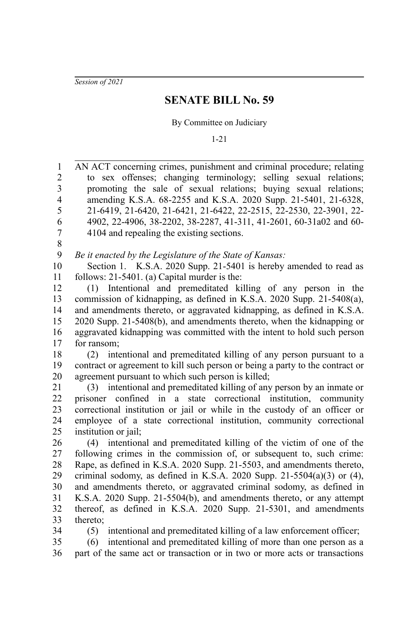*Session of 2021*

## **SENATE BILL No. 59**

By Committee on Judiciary

1-21

AN ACT concerning crimes, punishment and criminal procedure; relating to sex offenses; changing terminology; selling sexual relations; promoting the sale of sexual relations; buying sexual relations; amending K.S.A. 68-2255 and K.S.A. 2020 Supp. 21-5401, 21-6328, 21-6419, 21-6420, 21-6421, 21-6422, 22-2515, 22-2530, 22-3901, 22- 4902, 22-4906, 38-2202, 38-2287, 41-311, 41-2601, 60-31a02 and 60- 4104 and repealing the existing sections. *Be it enacted by the Legislature of the State of Kansas:* Section 1. K.S.A. 2020 Supp. 21-5401 is hereby amended to read as follows: 21-5401. (a) Capital murder is the: (1) Intentional and premeditated killing of any person in the commission of kidnapping, as defined in K.S.A. 2020 Supp. 21-5408(a), and amendments thereto, or aggravated kidnapping, as defined in K.S.A. 2020 Supp. 21-5408(b), and amendments thereto, when the kidnapping or aggravated kidnapping was committed with the intent to hold such person for ransom; (2) intentional and premeditated killing of any person pursuant to a contract or agreement to kill such person or being a party to the contract or agreement pursuant to which such person is killed; (3) intentional and premeditated killing of any person by an inmate or prisoner confined in a state correctional institution, community correctional institution or jail or while in the custody of an officer or employee of a state correctional institution, community correctional institution or jail; (4) intentional and premeditated killing of the victim of one of the following crimes in the commission of, or subsequent to, such crime: Rape, as defined in K.S.A. 2020 Supp. 21-5503, and amendments thereto, criminal sodomy, as defined in K.S.A. 2020 Supp. 21-5504(a)(3) or  $(4)$ , and amendments thereto, or aggravated criminal sodomy, as defined in K.S.A. 2020 Supp. 21-5504(b), and amendments thereto, or any attempt thereof, as defined in K.S.A. 2020 Supp. 21-5301, and amendments thereto; (5) intentional and premeditated killing of a law enforcement officer; (6) intentional and premeditated killing of more than one person as a 1 2 3 4 5 6 7 8 9 10 11 12 13 14 15 16 17 18 19 20 21 22 23 24 25 26 27 28 29 30 31 32 33 34 35

part of the same act or transaction or in two or more acts or transactions 36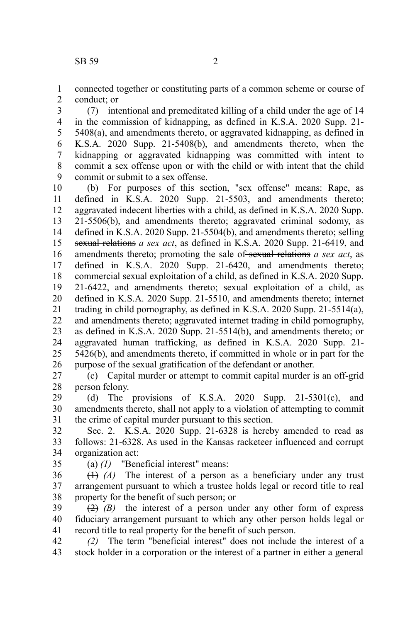connected together or constituting parts of a common scheme or course of conduct; or 1 2

(7) intentional and premeditated killing of a child under the age of 14 in the commission of kidnapping, as defined in K.S.A. 2020 Supp. 21- 5408(a), and amendments thereto, or aggravated kidnapping, as defined in K.S.A. 2020 Supp. 21-5408(b), and amendments thereto, when the kidnapping or aggravated kidnapping was committed with intent to commit a sex offense upon or with the child or with intent that the child commit or submit to a sex offense. 3 4 5 6 7 8 9

(b) For purposes of this section, "sex offense" means: Rape, as defined in K.S.A. 2020 Supp. 21-5503, and amendments thereto; aggravated indecent liberties with a child, as defined in K.S.A. 2020 Supp. 21-5506(b), and amendments thereto; aggravated criminal sodomy, as defined in K.S.A. 2020 Supp. 21-5504(b), and amendments thereto; selling sexual relations *a sex act*, as defined in K.S.A. 2020 Supp. 21-6419, and amendments thereto; promoting the sale of sexual relations *a sex act*, as defined in K.S.A. 2020 Supp. 21-6420, and amendments thereto; commercial sexual exploitation of a child, as defined in K.S.A. 2020 Supp. 21-6422, and amendments thereto; sexual exploitation of a child, as defined in K.S.A. 2020 Supp. 21-5510, and amendments thereto; internet trading in child pornography, as defined in K.S.A. 2020 Supp. 21-5514(a), and amendments thereto; aggravated internet trading in child pornography, as defined in K.S.A. 2020 Supp. 21-5514(b), and amendments thereto; or aggravated human trafficking, as defined in K.S.A. 2020 Supp. 21- 5426(b), and amendments thereto, if committed in whole or in part for the purpose of the sexual gratification of the defendant or another. 10 11 12 13 14 15 16 17 18 19 20 21 22 23 24 25 26

(c) Capital murder or attempt to commit capital murder is an off-grid person felony. 27 28

(d) The provisions of K.S.A. 2020 Supp.  $21-5301(c)$ , and amendments thereto, shall not apply to a violation of attempting to commit the crime of capital murder pursuant to this section. 29 30 31

Sec. 2. K.S.A. 2020 Supp. 21-6328 is hereby amended to read as follows: 21-6328. As used in the Kansas racketeer influenced and corrupt organization act: 32 33 34

35

(a) *(1)* "Beneficial interest" means:

(1) *(A)* The interest of a person as a beneficiary under any trust arrangement pursuant to which a trustee holds legal or record title to real property for the benefit of such person; or 36 37 38

 $\overline{(2)}$   $\overline{(B)}$  the interest of a person under any other form of express fiduciary arrangement pursuant to which any other person holds legal or record title to real property for the benefit of such person. 39 40 41

*(2)* The term "beneficial interest" does not include the interest of a stock holder in a corporation or the interest of a partner in either a general 42 43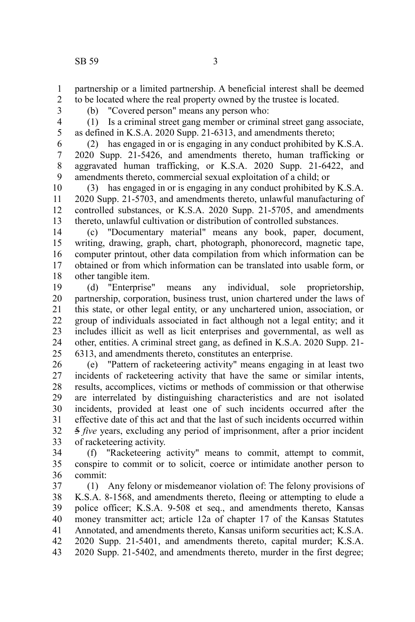partnership or a limited partnership. A beneficial interest shall be deemed to be located where the real property owned by the trustee is located.

2 3

1

(b) "Covered person" means any person who:

4 5

(1) Is a criminal street gang member or criminal street gang associate, as defined in K.S.A. 2020 Supp. 21-6313, and amendments thereto;

(2) has engaged in or is engaging in any conduct prohibited by K.S.A. 2020 Supp. 21-5426, and amendments thereto, human trafficking or aggravated human trafficking, or K.S.A. 2020 Supp. 21-6422, and amendments thereto, commercial sexual exploitation of a child; or 6 7 8 9

(3) has engaged in or is engaging in any conduct prohibited by K.S.A. 2020 Supp. 21-5703, and amendments thereto, unlawful manufacturing of controlled substances, or K.S.A. 2020 Supp. 21-5705, and amendments thereto, unlawful cultivation or distribution of controlled substances. 10 11 12 13

(c) "Documentary material" means any book, paper, document, writing, drawing, graph, chart, photograph, phonorecord, magnetic tape, computer printout, other data compilation from which information can be obtained or from which information can be translated into usable form, or other tangible item. 14 15 16 17 18

(d) "Enterprise" means any individual, sole proprietorship, partnership, corporation, business trust, union chartered under the laws of this state, or other legal entity, or any unchartered union, association, or group of individuals associated in fact although not a legal entity; and it includes illicit as well as licit enterprises and governmental, as well as other, entities. A criminal street gang, as defined in K.S.A. 2020 Supp. 21- 6313, and amendments thereto, constitutes an enterprise. 19 20 21 22 23 24 25

(e) "Pattern of racketeering activity" means engaging in at least two incidents of racketeering activity that have the same or similar intents, results, accomplices, victims or methods of commission or that otherwise are interrelated by distinguishing characteristics and are not isolated incidents, provided at least one of such incidents occurred after the effective date of this act and that the last of such incidents occurred within 5 *five* years, excluding any period of imprisonment, after a prior incident of racketeering activity. 26 27 28 29 30 31 32 33

(f) "Racketeering activity" means to commit, attempt to commit, conspire to commit or to solicit, coerce or intimidate another person to commit: 34 35 36

(1) Any felony or misdemeanor violation of: The felony provisions of K.S.A. 8-1568, and amendments thereto, fleeing or attempting to elude a police officer; K.S.A. 9-508 et seq., and amendments thereto, Kansas money transmitter act; article 12a of chapter 17 of the Kansas Statutes Annotated, and amendments thereto, Kansas uniform securities act; K.S.A. 2020 Supp. 21-5401, and amendments thereto, capital murder; K.S.A. 2020 Supp. 21-5402, and amendments thereto, murder in the first degree; 37 38 39 40 41 42 43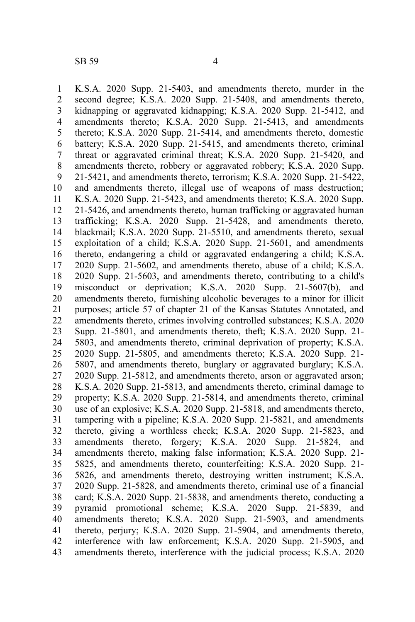K.S.A. 2020 Supp. 21-5403, and amendments thereto, murder in the second degree; K.S.A. 2020 Supp. 21-5408, and amendments thereto, kidnapping or aggravated kidnapping; K.S.A. 2020 Supp. 21-5412, and amendments thereto; K.S.A. 2020 Supp. 21-5413, and amendments thereto; K.S.A. 2020 Supp. 21-5414, and amendments thereto, domestic battery; K.S.A. 2020 Supp. 21-5415, and amendments thereto, criminal threat or aggravated criminal threat; K.S.A. 2020 Supp. 21-5420, and amendments thereto, robbery or aggravated robbery; K.S.A. 2020 Supp. 21-5421, and amendments thereto, terrorism; K.S.A. 2020 Supp. 21-5422, and amendments thereto, illegal use of weapons of mass destruction; K.S.A. 2020 Supp. 21-5423, and amendments thereto; K.S.A. 2020 Supp. 21-5426, and amendments thereto, human trafficking or aggravated human trafficking; K.S.A. 2020 Supp. 21-5428, and amendments thereto, blackmail; K.S.A. 2020 Supp. 21-5510, and amendments thereto, sexual exploitation of a child; K.S.A. 2020 Supp. 21-5601, and amendments thereto, endangering a child or aggravated endangering a child; K.S.A. 2020 Supp. 21-5602, and amendments thereto, abuse of a child; K.S.A. 2020 Supp. 21-5603, and amendments thereto, contributing to a child's misconduct or deprivation; K.S.A. 2020 Supp. 21-5607(b), and amendments thereto, furnishing alcoholic beverages to a minor for illicit purposes; article 57 of chapter 21 of the Kansas Statutes Annotated, and amendments thereto, crimes involving controlled substances; K.S.A. 2020 Supp. 21-5801, and amendments thereto, theft; K.S.A. 2020 Supp. 21- 5803, and amendments thereto, criminal deprivation of property; K.S.A. 2020 Supp. 21-5805, and amendments thereto; K.S.A. 2020 Supp. 21- 5807, and amendments thereto, burglary or aggravated burglary; K.S.A. 2020 Supp. 21-5812, and amendments thereto, arson or aggravated arson; K.S.A. 2020 Supp. 21-5813, and amendments thereto, criminal damage to property; K.S.A. 2020 Supp. 21-5814, and amendments thereto, criminal use of an explosive; K.S.A. 2020 Supp. 21-5818, and amendments thereto, tampering with a pipeline; K.S.A. 2020 Supp. 21-5821, and amendments thereto, giving a worthless check; K.S.A. 2020 Supp. 21-5823, and amendments thereto, forgery; K.S.A. 2020 Supp. 21-5824, and amendments thereto, making false information; K.S.A. 2020 Supp. 21- 5825, and amendments thereto, counterfeiting; K.S.A. 2020 Supp. 21- 5826, and amendments thereto, destroying written instrument; K.S.A. 2020 Supp. 21-5828, and amendments thereto, criminal use of a financial card; K.S.A. 2020 Supp. 21-5838, and amendments thereto, conducting a pyramid promotional scheme; K.S.A. 2020 Supp. 21-5839, and amendments thereto; K.S.A. 2020 Supp. 21-5903, and amendments thereto, perjury; K.S.A. 2020 Supp. 21-5904, and amendments thereto, interference with law enforcement; K.S.A. 2020 Supp. 21-5905, and amendments thereto, interference with the judicial process; K.S.A. 2020 1 2 3 4 5 6 7 8 9 10 11 12 13 14 15 16 17 18 19 20 21 22 23 24 25 26 27 28 29 30 31 32 33 34 35 36 37 38 39 40 41 42 43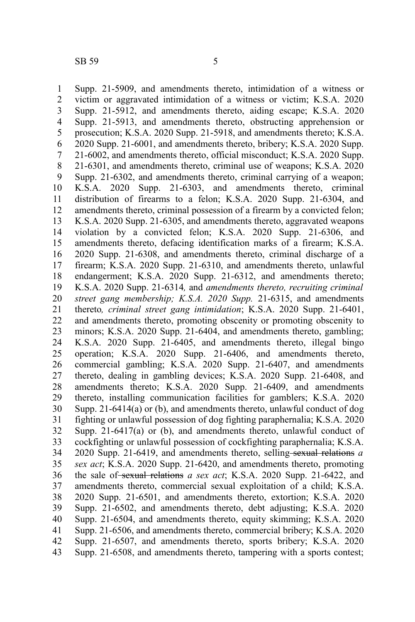Supp. 21-5909, and amendments thereto, intimidation of a witness or victim or aggravated intimidation of a witness or victim; K.S.A. 2020 Supp. 21-5912, and amendments thereto, aiding escape; K.S.A. 2020 Supp. 21-5913, and amendments thereto, obstructing apprehension or prosecution; K.S.A. 2020 Supp. 21-5918, and amendments thereto; K.S.A. 2020 Supp. 21-6001, and amendments thereto, bribery; K.S.A. 2020 Supp. 21-6002, and amendments thereto, official misconduct; K.S.A. 2020 Supp. 21-6301, and amendments thereto, criminal use of weapons; K.S.A. 2020 Supp. 21-6302, and amendments thereto, criminal carrying of a weapon; K.S.A. 2020 Supp. 21-6303, and amendments thereto, criminal distribution of firearms to a felon; K.S.A. 2020 Supp. 21-6304, and amendments thereto, criminal possession of a firearm by a convicted felon; K.S.A. 2020 Supp. 21-6305, and amendments thereto, aggravated weapons violation by a convicted felon; K.S.A. 2020 Supp. 21-6306, and amendments thereto, defacing identification marks of a firearm; K.S.A. 2020 Supp. 21-6308, and amendments thereto, criminal discharge of a firearm; K.S.A. 2020 Supp. 21-6310, and amendments thereto, unlawful endangerment; K.S.A. 2020 Supp. 21-6312, and amendments thereto; K.S.A. 2020 Supp. 21-6314*,* and *amendments thereto, recruiting criminal street gang membership; K.S.A. 2020 Supp.* 21-6315, and amendments thereto*, criminal street gang intimidation*; K.S.A. 2020 Supp. 21-6401, and amendments thereto, promoting obscenity or promoting obscenity to minors; K.S.A. 2020 Supp. 21-6404, and amendments thereto, gambling; K.S.A. 2020 Supp. 21-6405, and amendments thereto, illegal bingo operation; K.S.A. 2020 Supp. 21-6406, and amendments thereto, commercial gambling; K.S.A. 2020 Supp. 21-6407, and amendments thereto, dealing in gambling devices; K.S.A. 2020 Supp. 21-6408, and amendments thereto; K.S.A. 2020 Supp. 21-6409, and amendments thereto, installing communication facilities for gamblers; K.S.A. 2020 Supp. 21-6414(a) or (b), and amendments thereto, unlawful conduct of dog fighting or unlawful possession of dog fighting paraphernalia; K.S.A. 2020 Supp.  $21-6417(a)$  or (b), and amendments thereto, unlawful conduct of cockfighting or unlawful possession of cockfighting paraphernalia; K.S.A. 2020 Supp. 21-6419, and amendments thereto, selling sexual relations *a sex act*; K.S.A. 2020 Supp. 21-6420, and amendments thereto, promoting the sale of sexual relations *a sex act*; K.S.A. 2020 Supp. 21-6422, and amendments thereto, commercial sexual exploitation of a child; K.S.A. 2020 Supp. 21-6501, and amendments thereto, extortion; K.S.A. 2020 Supp. 21-6502, and amendments thereto, debt adjusting; K.S.A. 2020 Supp. 21-6504, and amendments thereto, equity skimming; K.S.A. 2020 Supp. 21-6506, and amendments thereto, commercial bribery; K.S.A. 2020 Supp. 21-6507, and amendments thereto, sports bribery; K.S.A. 2020 Supp. 21-6508, and amendments thereto, tampering with a sports contest; 1 2 3 4 5 6 7 8 9 10 11 12 13 14 15 16 17 18 19 20 21 22 23 24 25 26 27 28 29 30 31 32 33 34 35 36 37 38 39 40 41 42 43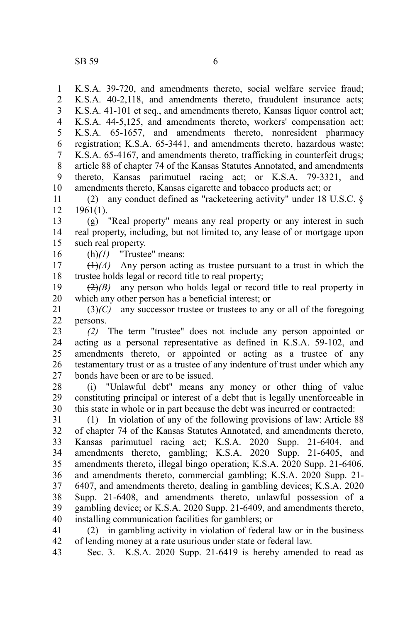K.S.A. 39-720, and amendments thereto, social welfare service fraud; K.S.A. 40-2,118, and amendments thereto, fraudulent insurance acts; K.S.A. 41-101 et seq., and amendments thereto, Kansas liquor control act; K.S.A. 44-5,125, and amendments thereto, workers' compensation act; K.S.A. 65-1657, and amendments thereto, nonresident pharmacy registration; K.S.A. 65-3441, and amendments thereto, hazardous waste; K.S.A. 65-4167, and amendments thereto, trafficking in counterfeit drugs; article 88 of chapter 74 of the Kansas Statutes Annotated, and amendments thereto, Kansas parimutuel racing act; or K.S.A. 79-3321, and amendments thereto, Kansas cigarette and tobacco products act; or 1 2 3 4 5 6 7 8 9 10

(2) any conduct defined as "racketeering activity" under 18 U.S.C. §  $1961(1)$ . 11 12

(g) "Real property" means any real property or any interest in such real property, including, but not limited to, any lease of or mortgage upon such real property. 13 14 15

(h)*(1)* "Trustee" means: 16

 $(1)$ <sup>(1)</sup> $(A)$  Any person acting as trustee pursuant to a trust in which the trustee holds legal or record title to real property; 17 18

 $\left(\frac{2}{2}\right)$  any person who holds legal or record title to real property in which any other person has a beneficial interest; or 19 20

 $\left(\frac{3}{2}\right)(C)$  any successor trustee or trustees to any or all of the foregoing persons. 21 22

*(2)* The term "trustee" does not include any person appointed or acting as a personal representative as defined in K.S.A. 59-102, and amendments thereto, or appointed or acting as a trustee of any testamentary trust or as a trustee of any indenture of trust under which any bonds have been or are to be issued. 23 24 25 26 27

(i) "Unlawful debt" means any money or other thing of value constituting principal or interest of a debt that is legally unenforceable in this state in whole or in part because the debt was incurred or contracted: 28 29 30

(1) In violation of any of the following provisions of law: Article 88 of chapter 74 of the Kansas Statutes Annotated, and amendments thereto, Kansas parimutuel racing act; K.S.A. 2020 Supp. 21-6404, and amendments thereto, gambling; K.S.A. 2020 Supp. 21-6405, and amendments thereto, illegal bingo operation; K.S.A. 2020 Supp. 21-6406, and amendments thereto, commercial gambling; K.S.A. 2020 Supp. 21- 6407, and amendments thereto, dealing in gambling devices; K.S.A. 2020 Supp. 21-6408, and amendments thereto, unlawful possession of a gambling device; or K.S.A. 2020 Supp. 21-6409, and amendments thereto, installing communication facilities for gamblers; or 31 32 33 34 35 36 37 38 39 40

(2) in gambling activity in violation of federal law or in the business of lending money at a rate usurious under state or federal law. 41 42

Sec. 3. K.S.A. 2020 Supp. 21-6419 is hereby amended to read as 43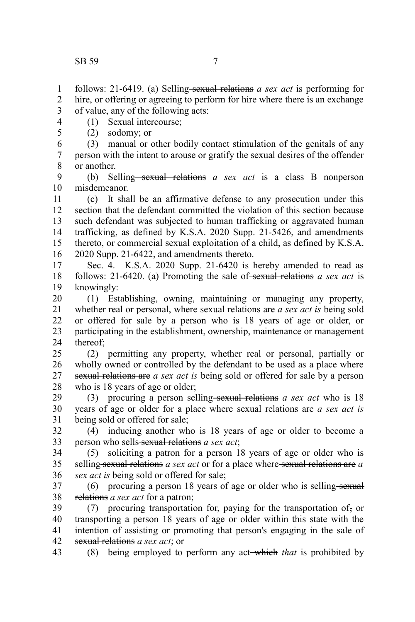4 5

hire, or offering or agreeing to perform for hire where there is an exchange of value, any of the following acts: 1 2 3

- (1) Sexual intercourse;
	- (2) sodomy; or

(3) manual or other bodily contact stimulation of the genitals of any person with the intent to arouse or gratify the sexual desires of the offender or another. 6 7 8

(b) Selling<del> sexual relations</del> a sex act is a class B nonperson misdemeanor. 9 10

(c) It shall be an affirmative defense to any prosecution under this section that the defendant committed the violation of this section because such defendant was subjected to human trafficking or aggravated human trafficking, as defined by K.S.A. 2020 Supp. 21-5426, and amendments thereto, or commercial sexual exploitation of a child, as defined by K.S.A. 2020 Supp. 21-6422, and amendments thereto. 11 12 13 14 15 16

Sec. 4. K.S.A. 2020 Supp. 21-6420 is hereby amended to read as follows: 21-6420. (a) Promoting the sale of sexual relations *a sex act* is knowingly: 17 18 19

(1) Establishing, owning, maintaining or managing any property, whether real or personal, where sexual relations are *a sex act is* being sold or offered for sale by a person who is 18 years of age or older, or participating in the establishment, ownership, maintenance or management thereof; 20 21 22 23 24

(2) permitting any property, whether real or personal, partially or wholly owned or controlled by the defendant to be used as a place where sexual relations are *a sex act is* being sold or offered for sale by a person who is 18 years of age or older;  $25$ 26 27 28

(3) procuring a person selling sexual relations *a sex act* who is 18 years of age or older for a place where sexual relations are *a sex act is* being sold or offered for sale; 29 30 31

(4) inducing another who is 18 years of age or older to become a person who sells sexual relations *a sex act*; 32 33

(5) soliciting a patron for a person 18 years of age or older who is selling sexual relations *a sex act* or for a place where sexual relations are *a sex act is* being sold or offered for sale; 34 35 36

 $(6)$  procuring a person 18 years of age or older who is selling sexual relations *a sex act* for a patron; 37 38

(7) procuring transportation for, paying for the transportation of, or transporting a person 18 years of age or older within this state with the intention of assisting or promoting that person's engaging in the sale of sexual relations *a sex act*; or 39 40 41 42

(8) being employed to perform any act which *that* is prohibited by 43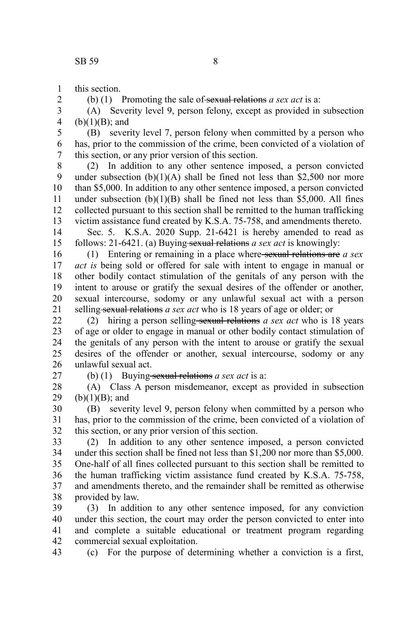this section. 1

2

(b) (1) Promoting the sale of sexual relations *a sex act* is a:

(A) Severity level 9, person felony, except as provided in subsection  $(b)(1)(B)$ ; and 3 4

(B) severity level 7, person felony when committed by a person who has, prior to the commission of the crime, been convicted of a violation of this section, or any prior version of this section. 5 6 7

(2) In addition to any other sentence imposed, a person convicted under subsection  $(b)(1)(A)$  shall be fined not less than \$2,500 nor more than \$5,000. In addition to any other sentence imposed, a person convicted under subsection  $(b)(1)(B)$  shall be fined not less than \$5,000. All fines collected pursuant to this section shall be remitted to the human trafficking victim assistance fund created by K.S.A. 75-758, and amendments thereto. 8 9 10 11 12 13

Sec. 5. K.S.A. 2020 Supp. 21-6421 is hereby amended to read as follows: 21-6421. (a) Buying sexual relations *a sex act* is knowingly: 14 15

(1) Entering or remaining in a place where sexual relations are *a sex act is* being sold or offered for sale with intent to engage in manual or other bodily contact stimulation of the genitals of any person with the intent to arouse or gratify the sexual desires of the offender or another, sexual intercourse, sodomy or any unlawful sexual act with a person selling sexual relations *a sex act* who is 18 years of age or older; or 16 17 18 19 20 21

(2) hiring a person selling sexual relations *a sex act* who is 18 years of age or older to engage in manual or other bodily contact stimulation of the genitals of any person with the intent to arouse or gratify the sexual desires of the offender or another, sexual intercourse, sodomy or any unlawful sexual act. 22 23 24 25 26

27

(b) (1) Buying-sexual relations *a sex act* is a:

(A) Class A person misdemeanor, except as provided in subsection  $(b)(1)(B)$ ; and 28 29

(B) severity level 9, person felony when committed by a person who has, prior to the commission of the crime, been convicted of a violation of this section, or any prior version of this section. 30 31 32

(2) In addition to any other sentence imposed, a person convicted under this section shall be fined not less than \$1,200 nor more than \$5,000. One-half of all fines collected pursuant to this section shall be remitted to the human trafficking victim assistance fund created by K.S.A. 75-758, and amendments thereto, and the remainder shall be remitted as otherwise provided by law. 33 34 35 36 37 38

(3) In addition to any other sentence imposed, for any conviction under this section, the court may order the person convicted to enter into and complete a suitable educational or treatment program regarding commercial sexual exploitation. 39 40 41 42

(c) For the purpose of determining whether a conviction is a first, 43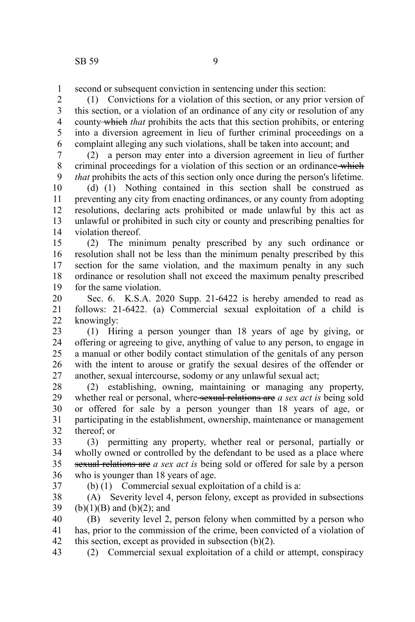second or subsequent conviction in sentencing under this section: 1

(1) Convictions for a violation of this section, or any prior version of this section, or a violation of an ordinance of any city or resolution of any county which *that* prohibits the acts that this section prohibits, or entering into a diversion agreement in lieu of further criminal proceedings on a complaint alleging any such violations, shall be taken into account; and 2 3 4 5 6

(2) a person may enter into a diversion agreement in lieu of further criminal proceedings for a violation of this section or an ordinance which *that* prohibits the acts of this section only once during the person's lifetime. 7 8 9

(d) (1) Nothing contained in this section shall be construed as preventing any city from enacting ordinances, or any county from adopting resolutions, declaring acts prohibited or made unlawful by this act as unlawful or prohibited in such city or county and prescribing penalties for violation thereof. 10 11 12 13 14

(2) The minimum penalty prescribed by any such ordinance or resolution shall not be less than the minimum penalty prescribed by this section for the same violation, and the maximum penalty in any such ordinance or resolution shall not exceed the maximum penalty prescribed for the same violation. 15 16 17 18 19

Sec. 6. K.S.A. 2020 Supp. 21-6422 is hereby amended to read as follows: 21-6422. (a) Commercial sexual exploitation of a child is knowingly: 20 21 22

(1) Hiring a person younger than 18 years of age by giving, or offering or agreeing to give, anything of value to any person, to engage in a manual or other bodily contact stimulation of the genitals of any person with the intent to arouse or gratify the sexual desires of the offender or another, sexual intercourse, sodomy or any unlawful sexual act; 23 24 25 26 27

(2) establishing, owning, maintaining or managing any property, whether real or personal, where sexual relations are *a sex act is* being sold or offered for sale by a person younger than 18 years of age, or participating in the establishment, ownership, maintenance or management thereof; or 28 29 30 31 32

(3) permitting any property, whether real or personal, partially or wholly owned or controlled by the defendant to be used as a place where sexual relations are *a sex act is* being sold or offered for sale by a person who is younger than 18 years of age. 33 34 35 36 37

(b) (1) Commercial sexual exploitation of a child is a:

(A) Severity level 4, person felony, except as provided in subsections  $(b)(1)(B)$  and  $(b)(2)$ ; and 38 39

(B) severity level 2, person felony when committed by a person who has, prior to the commission of the crime, been convicted of a violation of this section, except as provided in subsection (b)(2). 40 41 42

(2) Commercial sexual exploitation of a child or attempt, conspiracy 43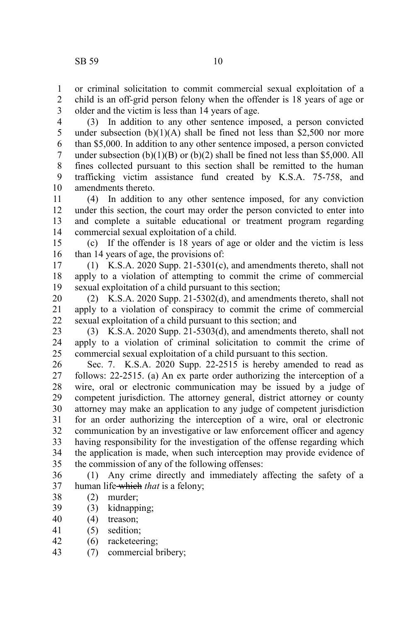or criminal solicitation to commit commercial sexual exploitation of a child is an off-grid person felony when the offender is 18 years of age or older and the victim is less than 14 years of age. 1 2 3

(3) In addition to any other sentence imposed, a person convicted under subsection  $(b)(1)(A)$  shall be fined not less than \$2,500 nor more than \$5,000. In addition to any other sentence imposed, a person convicted under subsection  $(b)(1)(B)$  or  $(b)(2)$  shall be fined not less than \$5,000. All fines collected pursuant to this section shall be remitted to the human trafficking victim assistance fund created by K.S.A. 75-758, and amendments thereto. 4 5 6 7 8 9 10

(4) In addition to any other sentence imposed, for any conviction under this section, the court may order the person convicted to enter into and complete a suitable educational or treatment program regarding commercial sexual exploitation of a child. 11 12 13 14

(c) If the offender is 18 years of age or older and the victim is less than 14 years of age, the provisions of: 15 16

(1) K.S.A. 2020 Supp. 21-5301(c), and amendments thereto, shall not apply to a violation of attempting to commit the crime of commercial sexual exploitation of a child pursuant to this section; 17 18 19

(2) K.S.A. 2020 Supp. 21-5302(d), and amendments thereto, shall not apply to a violation of conspiracy to commit the crime of commercial sexual exploitation of a child pursuant to this section; and 20 21 22

(3) K.S.A. 2020 Supp. 21-5303(d), and amendments thereto, shall not apply to a violation of criminal solicitation to commit the crime of commercial sexual exploitation of a child pursuant to this section. 23 24 25

Sec. 7. K.S.A. 2020 Supp. 22-2515 is hereby amended to read as follows: 22-2515. (a) An ex parte order authorizing the interception of a wire, oral or electronic communication may be issued by a judge of competent jurisdiction. The attorney general, district attorney or county attorney may make an application to any judge of competent jurisdiction for an order authorizing the interception of a wire, oral or electronic communication by an investigative or law enforcement officer and agency having responsibility for the investigation of the offense regarding which the application is made, when such interception may provide evidence of the commission of any of the following offenses: 26 27 28 29 30 31 32 33 34 35

(1) Any crime directly and immediately affecting the safety of a human life-which *that* is a felony; 36 37

- (2) murder; 38
- (3) kidnapping; 39
- (4) treason; 40
- (5) sedition; 41
- (6) racketeering; 42
- (7) commercial bribery; 43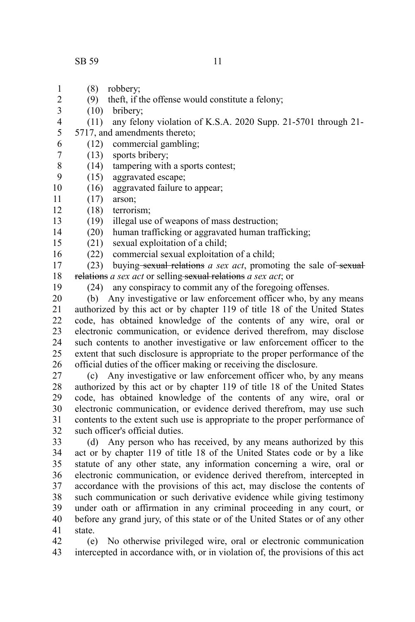- (8) robbery; 1
- (9) theft, if the offense would constitute a felony; 2
- (10) bribery; 3 4
	- (11) any felony violation of K.S.A. 2020 Supp. 21-5701 through 21-
- 5717, and amendments thereto; 5
	- (12) commercial gambling;
- (13) sports bribery; 7
- (14) tampering with a sports contest; 8
- (15) aggravated escape; 9
- (16) aggravated failure to appear; 10
- (17) arson; 11
- (18) terrorism; 12
- (19) illegal use of weapons of mass destruction; 13
	- (20) human trafficking or aggravated human trafficking;
- (21) sexual exploitation of a child; 15
- (22) commercial sexual exploitation of a child; 16
- (23) buying sexual relations *a sex act*, promoting the sale of sexual relations *a sex act* or selling sexual relations *a sex act*; or 17 18
- 19

14

6

(24) any conspiracy to commit any of the foregoing offenses.

(b) Any investigative or law enforcement officer who, by any means authorized by this act or by chapter 119 of title 18 of the United States code, has obtained knowledge of the contents of any wire, oral or electronic communication, or evidence derived therefrom, may disclose such contents to another investigative or law enforcement officer to the extent that such disclosure is appropriate to the proper performance of the official duties of the officer making or receiving the disclosure. 20 21 22 23 24 25 26

(c) Any investigative or law enforcement officer who, by any means authorized by this act or by chapter 119 of title 18 of the United States code, has obtained knowledge of the contents of any wire, oral or electronic communication, or evidence derived therefrom, may use such contents to the extent such use is appropriate to the proper performance of such officer's official duties. 27 28 29 30 31 32

(d) Any person who has received, by any means authorized by this act or by chapter 119 of title 18 of the United States code or by a like statute of any other state, any information concerning a wire, oral or electronic communication, or evidence derived therefrom, intercepted in accordance with the provisions of this act, may disclose the contents of such communication or such derivative evidence while giving testimony under oath or affirmation in any criminal proceeding in any court, or before any grand jury, of this state or of the United States or of any other state. 33 34 35 36 37 38 39 40 41

(e) No otherwise privileged wire, oral or electronic communication intercepted in accordance with, or in violation of, the provisions of this act 42 43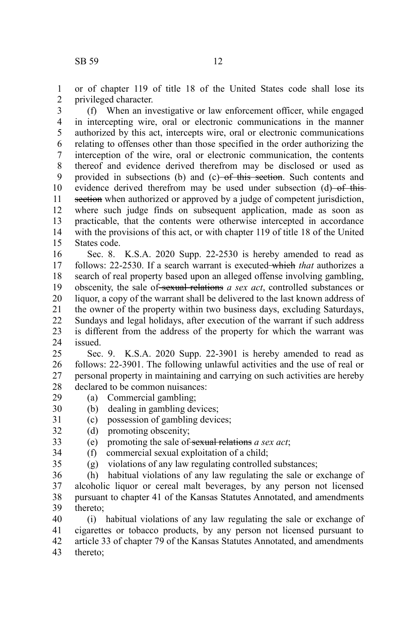or of chapter 119 of title 18 of the United States code shall lose its privileged character. 1 2

(f) When an investigative or law enforcement officer, while engaged in intercepting wire, oral or electronic communications in the manner authorized by this act, intercepts wire, oral or electronic communications relating to offenses other than those specified in the order authorizing the interception of the wire, oral or electronic communication, the contents thereof and evidence derived therefrom may be disclosed or used as provided in subsections (b) and (c) of this section. Such contents and evidence derived therefrom may be used under subsection (d) of thissection when authorized or approved by a judge of competent jurisdiction, where such judge finds on subsequent application, made as soon as practicable, that the contents were otherwise intercepted in accordance with the provisions of this act, or with chapter 119 of title 18 of the United States code. 3 4 5 6 7 8 9 10 11 12 13 14 15

Sec. 8. K.S.A. 2020 Supp. 22-2530 is hereby amended to read as follows: 22-2530. If a search warrant is executed which *that* authorizes a search of real property based upon an alleged offense involving gambling, obscenity, the sale of sexual relations *a sex act*, controlled substances or liquor, a copy of the warrant shall be delivered to the last known address of the owner of the property within two business days, excluding Saturdays, Sundays and legal holidays, after execution of the warrant if such address is different from the address of the property for which the warrant was issued. 16 17 18 19 20 21 22 23 24

Sec. 9. K.S.A. 2020 Supp. 22-3901 is hereby amended to read as follows: 22-3901. The following unlawful activities and the use of real or personal property in maintaining and carrying on such activities are hereby declared to be common nuisances:  $25$ 26 27 28

- (a) Commercial gambling; 29
- (b) dealing in gambling devices; 30
- (c) possession of gambling devices; 31
- (d) promoting obscenity; 32
- (e) promoting the sale of sexual relations *a sex act*; 33
- (f) commercial sexual exploitation of a child; 34
- 35

(g) violations of any law regulating controlled substances;

(h) habitual violations of any law regulating the sale or exchange of alcoholic liquor or cereal malt beverages, by any person not licensed pursuant to chapter 41 of the Kansas Statutes Annotated, and amendments thereto; 36 37 38 39

(i) habitual violations of any law regulating the sale or exchange of cigarettes or tobacco products, by any person not licensed pursuant to article 33 of chapter 79 of the Kansas Statutes Annotated, and amendments thereto; 40 41 42 43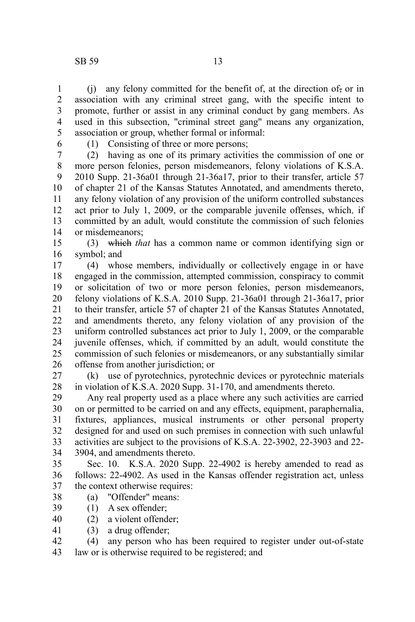(j) any felony committed for the benefit of, at the direction of, or in association with any criminal street gang, with the specific intent to promote, further or assist in any criminal conduct by gang members. As used in this subsection, "criminal street gang" means any organization, association or group, whether formal or informal: 1 2 3 4 5

6

(1) Consisting of three or more persons;

(2) having as one of its primary activities the commission of one or more person felonies, person misdemeanors, felony violations of K.S.A. 2010 Supp. 21-36a01 through 21-36a17, prior to their transfer, article 57 of chapter 21 of the Kansas Statutes Annotated, and amendments thereto, any felony violation of any provision of the uniform controlled substances act prior to July 1, 2009, or the comparable juvenile offenses, which*,* if committed by an adult*,* would constitute the commission of such felonies or misdemeanors; 7 8 9 10 11 12 13 14

(3) which *that* has a common name or common identifying sign or symbol; and 15 16

(4) whose members, individually or collectively engage in or have engaged in the commission, attempted commission, conspiracy to commit or solicitation of two or more person felonies, person misdemeanors, felony violations of K.S.A. 2010 Supp. 21-36a01 through 21-36a17, prior to their transfer, article 57 of chapter 21 of the Kansas Statutes Annotated, and amendments thereto, any felony violation of any provision of the uniform controlled substances act prior to July 1, 2009, or the comparable juvenile offenses, which*,* if committed by an adult*,* would constitute the commission of such felonies or misdemeanors, or any substantially similar offense from another jurisdiction; or 17 18 19 20 21 22 23 24 25 26

(k) use of pyrotechnics, pyrotechnic devices or pyrotechnic materials in violation of K.S.A. 2020 Supp. 31-170, and amendments thereto. 27 28

Any real property used as a place where any such activities are carried on or permitted to be carried on and any effects, equipment, paraphernalia, fixtures, appliances, musical instruments or other personal property designed for and used on such premises in connection with such unlawful activities are subject to the provisions of K.S.A. 22-3902, 22-3903 and 22- 3904, and amendments thereto. 29 30 31 32 33 34

Sec. 10. K.S.A. 2020 Supp. 22-4902 is hereby amended to read as follows: 22-4902. As used in the Kansas offender registration act, unless the context otherwise requires: 35 36 37

- (a) "Offender" means: 38
- (1) A sex offender; 39
- (2) a violent offender; 40
- (3) a drug offender; 41

(4) any person who has been required to register under out-of-state law or is otherwise required to be registered; and 42 43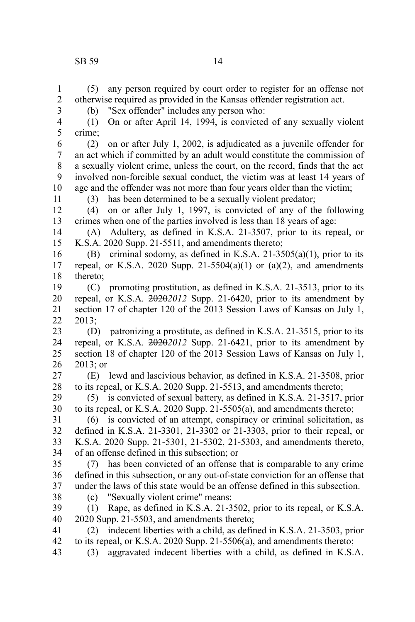otherwise required as provided in the Kansas offender registration act.

(b) "Sex offender" includes any person who:

(5) any person required by court order to register for an offense not

(1) On or after April 14, 1994, is convicted of any sexually violent

crime; (2) on or after July 1, 2002, is adjudicated as a juvenile offender for an act which if committed by an adult would constitute the commission of a sexually violent crime, unless the court, on the record, finds that the act involved non-forcible sexual conduct, the victim was at least 14 years of age and the offender was not more than four years older than the victim; (3) has been determined to be a sexually violent predator; (4) on or after July 1, 1997, is convicted of any of the following crimes when one of the parties involved is less than 18 years of age: (A) Adultery, as defined in K.S.A. 21-3507, prior to its repeal, or K.S.A. 2020 Supp. 21-5511, and amendments thereto; (B) criminal sodomy, as defined in K.S.A. 21-3505(a)(1), prior to its repeal, or K.S.A. 2020 Supp. 21-5504(a)(1) or (a)(2), and amendments thereto; (C) promoting prostitution, as defined in K.S.A. 21-3513, prior to its repeal, or K.S.A. 2020*2012* Supp. 21-6420, prior to its amendment by section 17 of chapter 120 of the 2013 Session Laws of Kansas on July 1, 2013; (D) patronizing a prostitute, as defined in K.S.A. 21-3515, prior to its repeal, or K.S.A. 2020*2012* Supp. 21-6421, prior to its amendment by section 18 of chapter 120 of the 2013 Session Laws of Kansas on July 1, 2013; or (E) lewd and lascivious behavior, as defined in K.S.A. 21-3508, prior to its repeal, or K.S.A. 2020 Supp. 21-5513, and amendments thereto; (5) is convicted of sexual battery, as defined in K.S.A. 21-3517, prior to its repeal, or K.S.A. 2020 Supp. 21-5505(a), and amendments thereto; (6) is convicted of an attempt, conspiracy or criminal solicitation, as 5 6 7 8 9 10 11 12 13 14 15 16 17 18 19 20 21 22 23 24 25 26 27 28 29 30 31

defined in K.S.A. 21-3301, 21-3302 or 21-3303, prior to their repeal, or K.S.A. 2020 Supp. 21-5301, 21-5302, 21-5303, and amendments thereto, of an offense defined in this subsection; or 32 33 34

(7) has been convicted of an offense that is comparable to any crime defined in this subsection, or any out-of-state conviction for an offense that under the laws of this state would be an offense defined in this subsection. 35 36 37

- 38
- (c) "Sexually violent crime" means:

(1) Rape, as defined in K.S.A. 21-3502, prior to its repeal, or K.S.A. 2020 Supp. 21-5503, and amendments thereto; 39 40

(2) indecent liberties with a child, as defined in K.S.A. 21-3503, prior to its repeal, or K.S.A. 2020 Supp. 21-5506(a), and amendments thereto; 41 42

(3) aggravated indecent liberties with a child, as defined in K.S.A. 43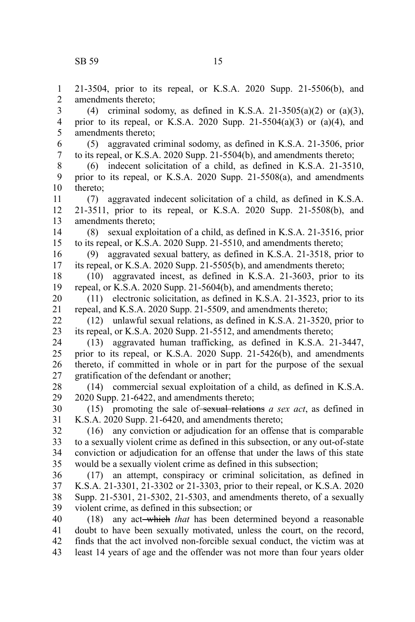21-3504, prior to its repeal, or K.S.A. 2020 Supp. 21-5506(b), and amendments thereto; (4) criminal sodomy, as defined in K.S.A. 21-3505(a)(2) or (a)(3), prior to its repeal, or K.S.A. 2020 Supp.  $21-5504(a)(3)$  or  $(a)(4)$ , and amendments thereto; (5) aggravated criminal sodomy, as defined in K.S.A. 21-3506, prior to its repeal, or K.S.A. 2020 Supp. 21-5504(b), and amendments thereto; (6) indecent solicitation of a child, as defined in K.S.A. 21-3510, prior to its repeal, or K.S.A. 2020 Supp. 21-5508(a), and amendments thereto; (7) aggravated indecent solicitation of a child, as defined in K.S.A. 21-3511, prior to its repeal, or K.S.A. 2020 Supp. 21-5508(b), and amendments thereto; (8) sexual exploitation of a child, as defined in K.S.A. 21-3516, prior to its repeal, or K.S.A. 2020 Supp. 21-5510, and amendments thereto; (9) aggravated sexual battery, as defined in K.S.A. 21-3518, prior to its repeal, or K.S.A. 2020 Supp. 21-5505(b), and amendments thereto; (10) aggravated incest, as defined in K.S.A. 21-3603, prior to its repeal, or K.S.A. 2020 Supp. 21-5604(b), and amendments thereto; (11) electronic solicitation, as defined in K.S.A. 21-3523, prior to its repeal, and K.S.A. 2020 Supp. 21-5509, and amendments thereto; (12) unlawful sexual relations, as defined in K.S.A. 21-3520, prior to its repeal, or K.S.A. 2020 Supp. 21-5512, and amendments thereto; (13) aggravated human trafficking, as defined in K.S.A. 21-3447, prior to its repeal, or K.S.A. 2020 Supp. 21-5426(b), and amendments thereto, if committed in whole or in part for the purpose of the sexual gratification of the defendant or another; (14) commercial sexual exploitation of a child, as defined in K.S.A. 2020 Supp. 21-6422, and amendments thereto; (15) promoting the sale of sexual relations *a sex act*, as defined in K.S.A. 2020 Supp. 21-6420, and amendments thereto; (16) any conviction or adjudication for an offense that is comparable to a sexually violent crime as defined in this subsection, or any out-of-state conviction or adjudication for an offense that under the laws of this state would be a sexually violent crime as defined in this subsection; (17) an attempt, conspiracy or criminal solicitation, as defined in K.S.A. 21-3301, 21-3302 or 21-3303, prior to their repeal, or K.S.A. 2020 Supp. 21-5301, 21-5302, 21-5303, and amendments thereto, of a sexually violent crime, as defined in this subsection; or (18) any act which *that* has been determined beyond a reasonable doubt to have been sexually motivated, unless the court, on the record, finds that the act involved non-forcible sexual conduct, the victim was at least 14 years of age and the offender was not more than four years older 1 2 3 4 5 6 7 8 9 10 11 12 13 14 15 16 17 18 19 20 21 22 23 24 25 26 27 28 29 30 31 32 33 34 35 36 37 38 39 40 41 42 43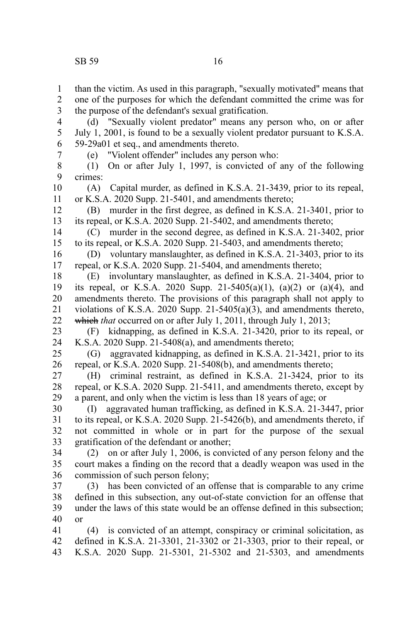than the victim. As used in this paragraph, "sexually motivated" means that one of the purposes for which the defendant committed the crime was for the purpose of the defendant's sexual gratification. (d) "Sexually violent predator" means any person who, on or after July 1, 2001, is found to be a sexually violent predator pursuant to K.S.A. 59-29a01 et seq., and amendments thereto. (e) "Violent offender" includes any person who: 1 2 3 4 5 6 7

(1) On or after July 1, 1997, is convicted of any of the following crimes: 8 9

(A) Capital murder, as defined in K.S.A. 21-3439, prior to its repeal, or K.S.A. 2020 Supp. 21-5401, and amendments thereto; 10 11

(B) murder in the first degree, as defined in K.S.A. 21-3401, prior to its repeal, or K.S.A. 2020 Supp. 21-5402, and amendments thereto; 12 13

(C) murder in the second degree, as defined in K.S.A. 21-3402, prior to its repeal, or K.S.A. 2020 Supp. 21-5403, and amendments thereto; 14 15

(D) voluntary manslaughter, as defined in K.S.A. 21-3403, prior to its repeal, or K.S.A. 2020 Supp. 21-5404, and amendments thereto; 16 17

(E) involuntary manslaughter, as defined in K.S.A. 21-3404, prior to its repeal, or K.S.A. 2020 Supp. 21-5405(a)(1), (a)(2) or (a)(4), and amendments thereto. The provisions of this paragraph shall not apply to violations of K.S.A. 2020 Supp. 21-5405(a)(3), and amendments thereto, which *that* occurred on or after July 1, 2011, through July 1, 2013; 18 19 20 21 22

(F) kidnapping, as defined in K.S.A. 21-3420, prior to its repeal, or K.S.A. 2020 Supp. 21-5408(a), and amendments thereto; 23 24

(G) aggravated kidnapping, as defined in K.S.A. 21-3421, prior to its repeal, or K.S.A. 2020 Supp. 21-5408(b), and amendments thereto; 25 26

(H) criminal restraint, as defined in K.S.A. 21-3424, prior to its repeal, or K.S.A. 2020 Supp. 21-5411, and amendments thereto, except by a parent, and only when the victim is less than 18 years of age; or 27 28 29

(I) aggravated human trafficking, as defined in K.S.A. 21-3447, prior to its repeal, or K.S.A. 2020 Supp. 21-5426(b), and amendments thereto, if not committed in whole or in part for the purpose of the sexual gratification of the defendant or another; 30 31 32 33

(2) on or after July 1, 2006, is convicted of any person felony and the court makes a finding on the record that a deadly weapon was used in the commission of such person felony; 34 35 36

(3) has been convicted of an offense that is comparable to any crime defined in this subsection, any out-of-state conviction for an offense that under the laws of this state would be an offense defined in this subsection; or 37 38 39 40

(4) is convicted of an attempt, conspiracy or criminal solicitation, as defined in K.S.A. 21-3301, 21-3302 or 21-3303, prior to their repeal, or K.S.A. 2020 Supp. 21-5301, 21-5302 and 21-5303, and amendments 41 42 43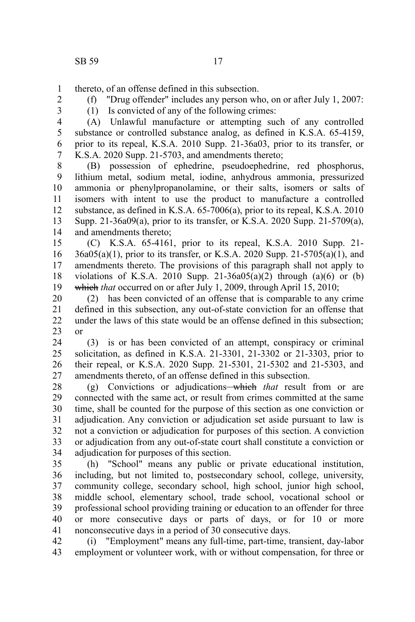(f) "Drug offender" includes any person who, on or after July 1, 2007:

thereto, of an offense defined in this subsection. 1

2 3

(1) Is convicted of any of the following crimes:

(A) Unlawful manufacture or attempting such of any controlled substance or controlled substance analog, as defined in K.S.A. 65-4159, prior to its repeal, K.S.A. 2010 Supp. 21-36a03, prior to its transfer, or K.S.A. 2020 Supp. 21-5703, and amendments thereto; 4 5 6 7

(B) possession of ephedrine, pseudoephedrine, red phosphorus, lithium metal, sodium metal, iodine, anhydrous ammonia, pressurized ammonia or phenylpropanolamine, or their salts, isomers or salts of isomers with intent to use the product to manufacture a controlled substance, as defined in K.S.A. 65-7006(a), prior to its repeal, K.S.A. 2010 Supp. 21-36a09(a), prior to its transfer, or K.S.A. 2020 Supp. 21-5709(a), and amendments thereto; 8 9 10 11 12 13 14

(C) K.S.A. 65-4161, prior to its repeal, K.S.A. 2010 Supp. 21- 36a05(a)(1), prior to its transfer, or K.S.A. 2020 Supp. 21-5705(a)(1), and amendments thereto. The provisions of this paragraph shall not apply to violations of K.S.A. 2010 Supp. 21-36a05(a)(2) through (a)(6) or (b) which *that* occurred on or after July 1, 2009, through April 15, 2010; 15 16 17 18 19

(2) has been convicted of an offense that is comparable to any crime defined in this subsection, any out-of-state conviction for an offense that under the laws of this state would be an offense defined in this subsection; or 20 21 22 23

(3) is or has been convicted of an attempt, conspiracy or criminal solicitation, as defined in K.S.A. 21-3301, 21-3302 or 21-3303, prior to their repeal, or K.S.A. 2020 Supp. 21-5301, 21-5302 and 21-5303, and amendments thereto, of an offense defined in this subsection. 24 25 26 27

(g) Convictions or adjudications which *that* result from or are connected with the same act, or result from crimes committed at the same time, shall be counted for the purpose of this section as one conviction or adjudication. Any conviction or adjudication set aside pursuant to law is not a conviction or adjudication for purposes of this section. A conviction or adjudication from any out-of-state court shall constitute a conviction or adjudication for purposes of this section. 28 29 30 31 32 33 34

(h) "School" means any public or private educational institution, including, but not limited to, postsecondary school, college, university, community college, secondary school, high school, junior high school, middle school, elementary school, trade school, vocational school or professional school providing training or education to an offender for three or more consecutive days or parts of days, or for 10 or more nonconsecutive days in a period of 30 consecutive days. 35 36 37 38 39 40 41

(i) "Employment" means any full-time, part-time, transient, day-labor employment or volunteer work, with or without compensation, for three or 42 43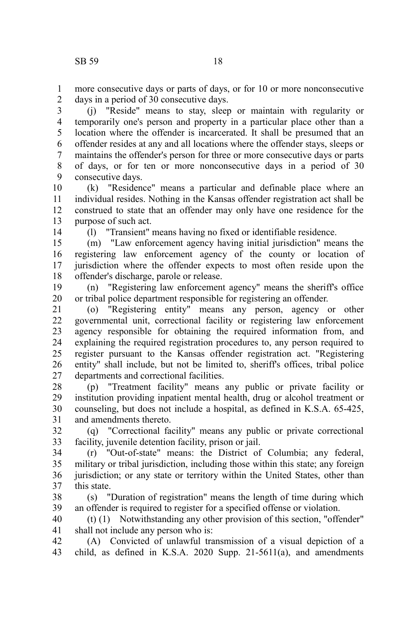more consecutive days or parts of days, or for 10 or more nonconsecutive days in a period of 30 consecutive days. 1 2

(j) "Reside" means to stay, sleep or maintain with regularity or temporarily one's person and property in a particular place other than a location where the offender is incarcerated. It shall be presumed that an offender resides at any and all locations where the offender stays, sleeps or maintains the offender's person for three or more consecutive days or parts of days, or for ten or more nonconsecutive days in a period of 30 consecutive days. 3 4 5 6 7 8 9

(k) "Residence" means a particular and definable place where an individual resides. Nothing in the Kansas offender registration act shall be construed to state that an offender may only have one residence for the purpose of such act. 10 11 12 13

14

(l) "Transient" means having no fixed or identifiable residence.

(m) "Law enforcement agency having initial jurisdiction" means the registering law enforcement agency of the county or location of jurisdiction where the offender expects to most often reside upon the offender's discharge, parole or release. 15 16 17 18

(n) "Registering law enforcement agency" means the sheriff's office or tribal police department responsible for registering an offender. 19 20

(o) "Registering entity" means any person, agency or other governmental unit, correctional facility or registering law enforcement agency responsible for obtaining the required information from, and explaining the required registration procedures to, any person required to register pursuant to the Kansas offender registration act. "Registering entity" shall include, but not be limited to, sheriff's offices, tribal police departments and correctional facilities. 21 22 23 24 25 26 27

(p) "Treatment facility" means any public or private facility or institution providing inpatient mental health, drug or alcohol treatment or counseling, but does not include a hospital, as defined in K.S.A. 65-425, and amendments thereto. 28 29 30 31

(q) "Correctional facility" means any public or private correctional facility, juvenile detention facility, prison or jail. 32 33

(r) "Out-of-state" means: the District of Columbia; any federal, military or tribal jurisdiction, including those within this state; any foreign jurisdiction; or any state or territory within the United States, other than this state. 34 35 36 37

(s) "Duration of registration" means the length of time during which an offender is required to register for a specified offense or violation. 38 39

(t) (1) Notwithstanding any other provision of this section, "offender" shall not include any person who is: 40 41

(A) Convicted of unlawful transmission of a visual depiction of a child, as defined in K.S.A. 2020 Supp. 21-5611(a), and amendments 42 43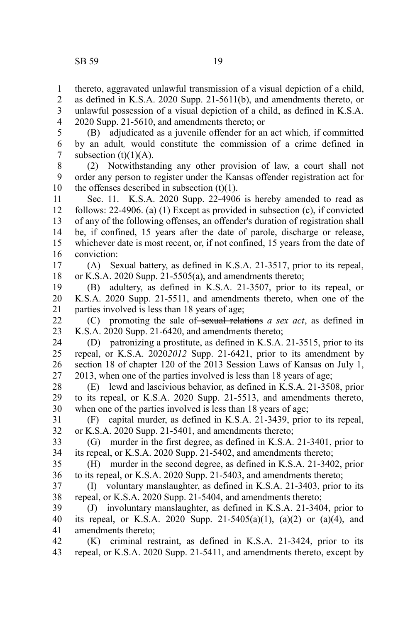thereto, aggravated unlawful transmission of a visual depiction of a child, as defined in K.S.A. 2020 Supp. 21-5611(b), and amendments thereto, or unlawful possession of a visual depiction of a child, as defined in K.S.A. 2020 Supp. 21-5610, and amendments thereto; or 1 2 3 4

(B) adjudicated as a juvenile offender for an act which*,* if committed by an adult*,* would constitute the commission of a crime defined in subsection  $(t)(1)(A)$ . 5 6 7

(2) Notwithstanding any other provision of law, a court shall not order any person to register under the Kansas offender registration act for the offenses described in subsection  $(t)(1)$ . 8 9 10

Sec. 11. K.S.A. 2020 Supp. 22-4906 is hereby amended to read as follows: 22-4906. (a) (1) Except as provided in subsection (c), if convicted of any of the following offenses, an offender's duration of registration shall be, if confined, 15 years after the date of parole, discharge or release, whichever date is most recent, or, if not confined, 15 years from the date of conviction: 11 12 13 14 15 16

(A) Sexual battery, as defined in K.S.A. 21-3517, prior to its repeal, or K.S.A. 2020 Supp. 21-5505(a), and amendments thereto; 17 18

(B) adultery, as defined in K.S.A. 21-3507, prior to its repeal, or K.S.A. 2020 Supp. 21-5511, and amendments thereto, when one of the parties involved is less than 18 years of age; 19 20 21

(C) promoting the sale of sexual relations *a sex act*, as defined in K.S.A. 2020 Supp. 21-6420, and amendments thereto; 22 23

(D) patronizing a prostitute, as defined in K.S.A. 21-3515, prior to its repeal, or K.S.A. 2020*2012* Supp. 21-6421, prior to its amendment by section 18 of chapter 120 of the 2013 Session Laws of Kansas on July 1, 2013, when one of the parties involved is less than 18 years of age; 24 25 26 27

(E) lewd and lascivious behavior, as defined in K.S.A. 21-3508, prior to its repeal, or K.S.A. 2020 Supp. 21-5513, and amendments thereto, when one of the parties involved is less than 18 years of age; 28 29 30

(F) capital murder, as defined in K.S.A. 21-3439, prior to its repeal, or K.S.A. 2020 Supp. 21-5401, and amendments thereto; 31 32

(G) murder in the first degree, as defined in K.S.A. 21-3401, prior to its repeal, or K.S.A. 2020 Supp. 21-5402, and amendments thereto; 33 34

(H) murder in the second degree, as defined in K.S.A. 21-3402, prior to its repeal, or K.S.A. 2020 Supp. 21-5403, and amendments thereto; 35 36

(I) voluntary manslaughter, as defined in K.S.A. 21-3403, prior to its repeal, or K.S.A. 2020 Supp. 21-5404, and amendments thereto; 37 38

(J) involuntary manslaughter, as defined in K.S.A. 21-3404, prior to its repeal, or K.S.A. 2020 Supp. 21-5405(a)(1), (a)(2) or (a)(4), and amendments thereto; 39 40 41

(K) criminal restraint, as defined in K.S.A. 21-3424, prior to its repeal, or K.S.A. 2020 Supp. 21-5411, and amendments thereto, except by 42 43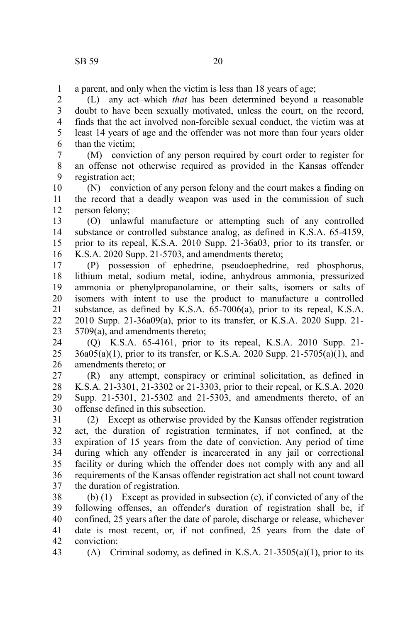a parent, and only when the victim is less than 18 years of age; 1

(L) any act which *that* has been determined beyond a reasonable doubt to have been sexually motivated, unless the court, on the record, finds that the act involved non-forcible sexual conduct, the victim was at least 14 years of age and the offender was not more than four years older than the victim; 2 3 4 5 6

(M) conviction of any person required by court order to register for an offense not otherwise required as provided in the Kansas offender registration act; 7 8 9

(N) conviction of any person felony and the court makes a finding on the record that a deadly weapon was used in the commission of such person felony; 10 11 12

(O) unlawful manufacture or attempting such of any controlled substance or controlled substance analog, as defined in K.S.A. 65-4159, prior to its repeal, K.S.A. 2010 Supp. 21-36a03, prior to its transfer, or K.S.A. 2020 Supp. 21-5703, and amendments thereto; 13 14 15 16

(P) possession of ephedrine, pseudoephedrine, red phosphorus, lithium metal, sodium metal, iodine, anhydrous ammonia, pressurized ammonia or phenylpropanolamine, or their salts, isomers or salts of isomers with intent to use the product to manufacture a controlled substance, as defined by K.S.A. 65-7006(a), prior to its repeal, K.S.A. 2010 Supp. 21-36a09(a), prior to its transfer, or K.S.A. 2020 Supp. 21- 5709(a), and amendments thereto; 17 18 19 20 21 22 23

(Q) K.S.A. 65-4161, prior to its repeal, K.S.A. 2010 Supp. 21- 36a05(a)(1), prior to its transfer, or K.S.A. 2020 Supp. 21-5705(a)(1), and amendments thereto; or 24 25 26

(R) any attempt, conspiracy or criminal solicitation, as defined in K.S.A. 21-3301, 21-3302 or 21-3303, prior to their repeal, or K.S.A. 2020 Supp. 21-5301, 21-5302 and 21-5303, and amendments thereto, of an offense defined in this subsection. 27 28 29 30

(2) Except as otherwise provided by the Kansas offender registration act, the duration of registration terminates, if not confined, at the expiration of 15 years from the date of conviction. Any period of time during which any offender is incarcerated in any jail or correctional facility or during which the offender does not comply with any and all requirements of the Kansas offender registration act shall not count toward the duration of registration. 31 32 33 34 35 36 37

(b) (1) Except as provided in subsection (c), if convicted of any of the following offenses, an offender's duration of registration shall be, if confined, 25 years after the date of parole, discharge or release, whichever date is most recent, or, if not confined, 25 years from the date of conviction: 38 39 40 41 42 43

(A) Criminal sodomy, as defined in K.S.A. 21-3505(a)(1), prior to its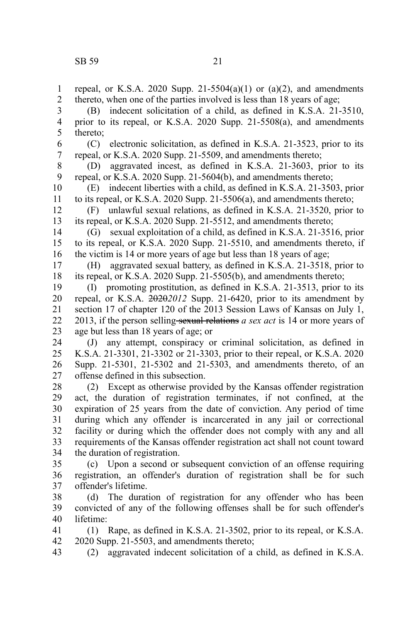repeal, or K.S.A. 2020 Supp. 21-5504(a)(1) or (a)(2), and amendments thereto, when one of the parties involved is less than 18 years of age; (B) indecent solicitation of a child, as defined in K.S.A. 21-3510, prior to its repeal, or K.S.A. 2020 Supp. 21-5508(a), and amendments thereto; (C) electronic solicitation, as defined in K.S.A. 21-3523, prior to its repeal, or K.S.A. 2020 Supp. 21-5509, and amendments thereto; (D) aggravated incest, as defined in K.S.A. 21-3603, prior to its repeal, or K.S.A. 2020 Supp. 21-5604(b), and amendments thereto; (E) indecent liberties with a child, as defined in K.S.A. 21-3503, prior to its repeal, or K.S.A. 2020 Supp. 21-5506(a), and amendments thereto; (F) unlawful sexual relations, as defined in K.S.A. 21-3520, prior to its repeal, or K.S.A. 2020 Supp. 21-5512, and amendments thereto; (G) sexual exploitation of a child, as defined in K.S.A. 21-3516, prior to its repeal, or K.S.A. 2020 Supp. 21-5510, and amendments thereto, if the victim is 14 or more years of age but less than 18 years of age; (H) aggravated sexual battery, as defined in K.S.A. 21-3518, prior to its repeal, or K.S.A. 2020 Supp. 21-5505(b), and amendments thereto; (I) promoting prostitution, as defined in K.S.A. 21-3513, prior to its repeal, or K.S.A. 2020*2012* Supp. 21-6420, prior to its amendment by section 17 of chapter 120 of the 2013 Session Laws of Kansas on July 1, 2013, if the person selling-sexual relations *a sex act* is 14 or more years of age but less than 18 years of age; or (J) any attempt, conspiracy or criminal solicitation, as defined in K.S.A. 21-3301, 21-3302 or 21-3303, prior to their repeal, or K.S.A. 2020 Supp. 21-5301, 21-5302 and 21-5303, and amendments thereto, of an offense defined in this subsection. (2) Except as otherwise provided by the Kansas offender registration act, the duration of registration terminates, if not confined, at the expiration of 25 years from the date of conviction. Any period of time during which any offender is incarcerated in any jail or correctional facility or during which the offender does not comply with any and all requirements of the Kansas offender registration act shall not count toward the duration of registration. (c) Upon a second or subsequent conviction of an offense requiring registration, an offender's duration of registration shall be for such offender's lifetime. (d) The duration of registration for any offender who has been convicted of any of the following offenses shall be for such offender's lifetime: (1) Rape, as defined in K.S.A. 21-3502, prior to its repeal, or K.S.A. 1 2 3 4 5 6 7 8 9 10 11 12 13 14 15 16 17 18 19 20 21 22 23 24 25 26 27 28 29 30 31 32 33 34 35 36 37 38 39 40 41

2020 Supp. 21-5503, and amendments thereto; 42

(2) aggravated indecent solicitation of a child, as defined in K.S.A. 43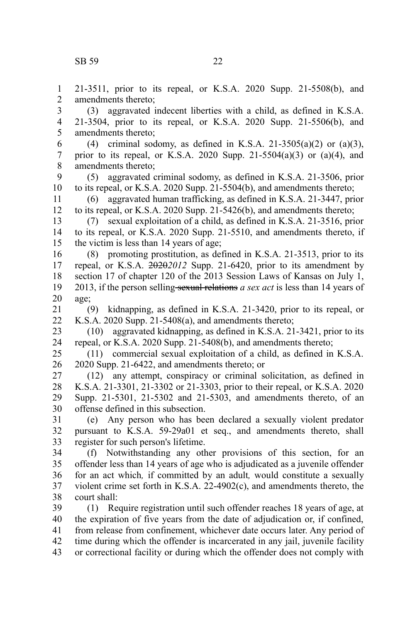age;

21-3511, prior to its repeal, or K.S.A. 2020 Supp. 21-5508(b), and amendments thereto; (3) aggravated indecent liberties with a child, as defined in K.S.A. 21-3504, prior to its repeal, or K.S.A. 2020 Supp. 21-5506(b), and amendments thereto; (4) criminal sodomy, as defined in K.S.A. 21-3505(a)(2) or (a)(3), prior to its repeal, or K.S.A. 2020 Supp. 21-5504(a)(3) or (a)(4), and amendments thereto; (5) aggravated criminal sodomy, as defined in K.S.A. 21-3506, prior to its repeal, or K.S.A. 2020 Supp. 21-5504(b), and amendments thereto; (6) aggravated human trafficking, as defined in K.S.A. 21-3447, prior to its repeal, or K.S.A. 2020 Supp. 21-5426(b), and amendments thereto; (7) sexual exploitation of a child, as defined in K.S.A. 21-3516, prior to its repeal, or K.S.A. 2020 Supp. 21-5510, and amendments thereto, if the victim is less than 14 years of age; (8) promoting prostitution, as defined in K.S.A. 21-3513, prior to its repeal, or K.S.A. 2020*2012* Supp. 21-6420, prior to its amendment by section 17 of chapter 120 of the 2013 Session Laws of Kansas on July 1, 2013, if the person selling sexual relations *a sex act* is less than 14 years of (9) kidnapping, as defined in K.S.A. 21-3420, prior to its repeal, or K.S.A. 2020 Supp. 21-5408(a), and amendments thereto; (10) aggravated kidnapping, as defined in K.S.A. 21-3421, prior to its repeal, or K.S.A. 2020 Supp. 21-5408(b), and amendments thereto; (11) commercial sexual exploitation of a child, as defined in K.S.A. 2020 Supp. 21-6422, and amendments thereto; or (12) any attempt, conspiracy or criminal solicitation, as defined in

K.S.A. 21-3301, 21-3302 or 21-3303, prior to their repeal, or K.S.A. 2020 Supp. 21-5301, 21-5302 and 21-5303, and amendments thereto, of an offense defined in this subsection. 27 28 29 30

(e) Any person who has been declared a sexually violent predator pursuant to K.S.A. 59-29a01 et seq., and amendments thereto, shall register for such person's lifetime. 31 32 33

(f) Notwithstanding any other provisions of this section, for an offender less than 14 years of age who is adjudicated as a juvenile offender for an act which*,* if committed by an adult*,* would constitute a sexually violent crime set forth in K.S.A. 22-4902(c), and amendments thereto, the court shall: 34 35 36 37 38

(1) Require registration until such offender reaches 18 years of age, at the expiration of five years from the date of adjudication or, if confined, from release from confinement, whichever date occurs later. Any period of time during which the offender is incarcerated in any jail, juvenile facility or correctional facility or during which the offender does not comply with 39 40 41 42 43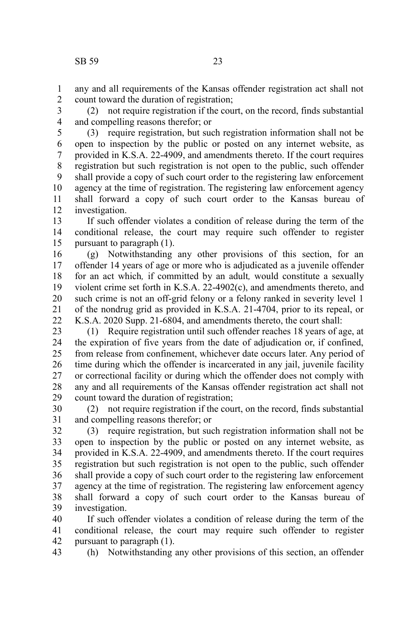any and all requirements of the Kansas offender registration act shall not count toward the duration of registration; 1 2

(2) not require registration if the court, on the record, finds substantial and compelling reasons therefor; or 3 4

(3) require registration, but such registration information shall not be open to inspection by the public or posted on any internet website, as provided in K.S.A. 22-4909, and amendments thereto. If the court requires registration but such registration is not open to the public, such offender shall provide a copy of such court order to the registering law enforcement agency at the time of registration. The registering law enforcement agency shall forward a copy of such court order to the Kansas bureau of investigation. 5 6 7 8 9 10 11 12

If such offender violates a condition of release during the term of the conditional release, the court may require such offender to register pursuant to paragraph (1). 13 14 15

(g) Notwithstanding any other provisions of this section, for an offender 14 years of age or more who is adjudicated as a juvenile offender for an act which*,* if committed by an adult*,* would constitute a sexually violent crime set forth in K.S.A. 22-4902(c), and amendments thereto, and such crime is not an off-grid felony or a felony ranked in severity level 1 of the nondrug grid as provided in K.S.A. 21-4704, prior to its repeal, or K.S.A. 2020 Supp. 21-6804, and amendments thereto, the court shall: 16 17 18 19 20 21 22

(1) Require registration until such offender reaches 18 years of age, at the expiration of five years from the date of adjudication or, if confined, from release from confinement, whichever date occurs later. Any period of time during which the offender is incarcerated in any jail, juvenile facility or correctional facility or during which the offender does not comply with any and all requirements of the Kansas offender registration act shall not count toward the duration of registration; 23 24 25 26 27 28 29

(2) not require registration if the court, on the record, finds substantial and compelling reasons therefor; or 30 31

(3) require registration, but such registration information shall not be open to inspection by the public or posted on any internet website, as provided in K.S.A. 22-4909, and amendments thereto. If the court requires registration but such registration is not open to the public, such offender shall provide a copy of such court order to the registering law enforcement agency at the time of registration. The registering law enforcement agency shall forward a copy of such court order to the Kansas bureau of investigation. 32 33 34 35 36 37 38 39

If such offender violates a condition of release during the term of the conditional release, the court may require such offender to register pursuant to paragraph (1). 40 41 42

(h) Notwithstanding any other provisions of this section, an offender 43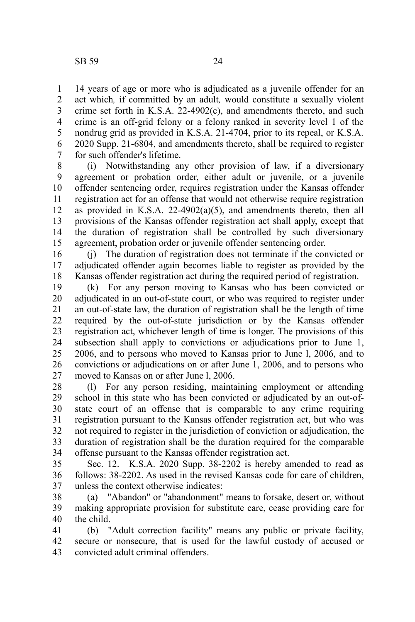14 years of age or more who is adjudicated as a juvenile offender for an act which*,* if committed by an adult*,* would constitute a sexually violent crime set forth in K.S.A. 22-4902(c), and amendments thereto, and such crime is an off-grid felony or a felony ranked in severity level 1 of the nondrug grid as provided in K.S.A. 21-4704, prior to its repeal, or K.S.A. 2020 Supp. 21-6804, and amendments thereto, shall be required to register for such offender's lifetime. 1 2 3 4 5 6 7

(i) Notwithstanding any other provision of law, if a diversionary agreement or probation order, either adult or juvenile, or a juvenile offender sentencing order, requires registration under the Kansas offender registration act for an offense that would not otherwise require registration as provided in K.S.A. 22-4902(a)(5), and amendments thereto, then all provisions of the Kansas offender registration act shall apply, except that the duration of registration shall be controlled by such diversionary agreement, probation order or juvenile offender sentencing order. 8 9 10 11 12 13 14 15

(j) The duration of registration does not terminate if the convicted or adjudicated offender again becomes liable to register as provided by the Kansas offender registration act during the required period of registration. 16 17 18

(k) For any person moving to Kansas who has been convicted or adjudicated in an out-of-state court, or who was required to register under an out-of-state law, the duration of registration shall be the length of time required by the out-of-state jurisdiction or by the Kansas offender registration act, whichever length of time is longer. The provisions of this subsection shall apply to convictions or adjudications prior to June 1, 2006, and to persons who moved to Kansas prior to June l, 2006, and to convictions or adjudications on or after June 1, 2006, and to persons who moved to Kansas on or after June l, 2006. 19 20 21 22 23 24 25 26 27

(l) For any person residing, maintaining employment or attending school in this state who has been convicted or adjudicated by an out-ofstate court of an offense that is comparable to any crime requiring registration pursuant to the Kansas offender registration act, but who was not required to register in the jurisdiction of conviction or adjudication, the duration of registration shall be the duration required for the comparable offense pursuant to the Kansas offender registration act. 28 29 30 31 32 33 34

Sec. 12. K.S.A. 2020 Supp. 38-2202 is hereby amended to read as follows: 38-2202. As used in the revised Kansas code for care of children, unless the context otherwise indicates: 35 36 37

(a) "Abandon" or "abandonment" means to forsake, desert or, without making appropriate provision for substitute care, cease providing care for the child. 38 39 40

(b) "Adult correction facility" means any public or private facility, secure or nonsecure, that is used for the lawful custody of accused or convicted adult criminal offenders. 41 42 43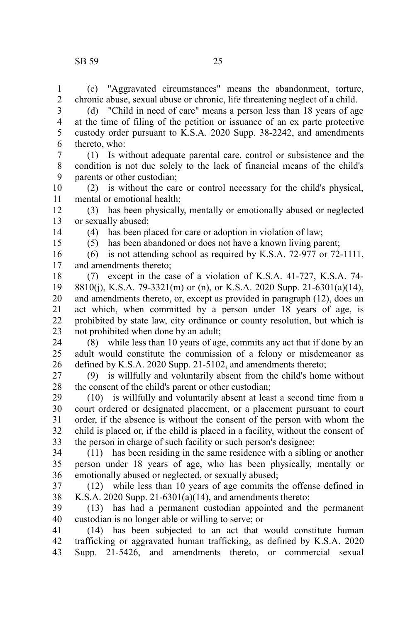(c) "Aggravated circumstances" means the abandonment, torture, chronic abuse, sexual abuse or chronic, life threatening neglect of a child. 1 2

(d) "Child in need of care" means a person less than 18 years of age at the time of filing of the petition or issuance of an ex parte protective custody order pursuant to K.S.A. 2020 Supp. 38-2242, and amendments thereto, who: 3 4 5 6

(1) Is without adequate parental care, control or subsistence and the condition is not due solely to the lack of financial means of the child's parents or other custodian; 7 8 9

(2) is without the care or control necessary for the child's physical, mental or emotional health; 10 11

(3) has been physically, mentally or emotionally abused or neglected or sexually abused; 12 13

14 15 (4) has been placed for care or adoption in violation of law;

(5) has been abandoned or does not have a known living parent;

(6) is not attending school as required by K.S.A. 72-977 or 72-1111, and amendments thereto; 16 17

(7) except in the case of a violation of K.S.A. 41-727, K.S.A. 74- 8810(j), K.S.A. 79-3321(m) or (n), or K.S.A. 2020 Supp. 21-6301(a)(14), and amendments thereto, or, except as provided in paragraph (12), does an act which, when committed by a person under 18 years of age, is prohibited by state law, city ordinance or county resolution, but which is not prohibited when done by an adult; 18 19 20 21 22 23

(8) while less than 10 years of age, commits any act that if done by an adult would constitute the commission of a felony or misdemeanor as defined by K.S.A. 2020 Supp. 21-5102, and amendments thereto; 24 25 26

(9) is willfully and voluntarily absent from the child's home without the consent of the child's parent or other custodian; 27 28

(10) is willfully and voluntarily absent at least a second time from a court ordered or designated placement, or a placement pursuant to court order, if the absence is without the consent of the person with whom the child is placed or, if the child is placed in a facility, without the consent of the person in charge of such facility or such person's designee; 29 30 31 32 33

(11) has been residing in the same residence with a sibling or another person under 18 years of age, who has been physically, mentally or emotionally abused or neglected, or sexually abused; 34 35 36

(12) while less than 10 years of age commits the offense defined in K.S.A. 2020 Supp. 21-6301(a)(14), and amendments thereto; 37 38

(13) has had a permanent custodian appointed and the permanent custodian is no longer able or willing to serve; or 39 40

(14) has been subjected to an act that would constitute human trafficking or aggravated human trafficking, as defined by K.S.A. 2020 Supp. 21-5426, and amendments thereto, or commercial sexual 41 42 43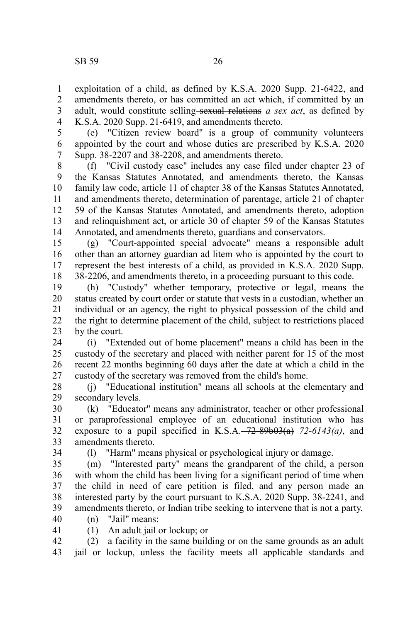exploitation of a child, as defined by K.S.A. 2020 Supp. 21-6422, and amendments thereto, or has committed an act which, if committed by an adult, would constitute selling-sexual relations *a sex act*, as defined by K.S.A. 2020 Supp. 21-6419, and amendments thereto. 1 2 3 4

(e) "Citizen review board" is a group of community volunteers appointed by the court and whose duties are prescribed by K.S.A. 2020 Supp. 38-2207 and 38-2208, and amendments thereto. 5 6 7

(f) "Civil custody case" includes any case filed under chapter 23 of the Kansas Statutes Annotated, and amendments thereto, the Kansas family law code, article 11 of chapter 38 of the Kansas Statutes Annotated, and amendments thereto, determination of parentage, article 21 of chapter 59 of the Kansas Statutes Annotated, and amendments thereto, adoption and relinquishment act, or article 30 of chapter 59 of the Kansas Statutes Annotated, and amendments thereto, guardians and conservators. 8 9 10 11 12 13 14

(g) "Court-appointed special advocate" means a responsible adult other than an attorney guardian ad litem who is appointed by the court to represent the best interests of a child, as provided in K.S.A. 2020 Supp. 38-2206, and amendments thereto, in a proceeding pursuant to this code. 15 16 17 18

(h) "Custody" whether temporary, protective or legal, means the status created by court order or statute that vests in a custodian, whether an individual or an agency, the right to physical possession of the child and the right to determine placement of the child, subject to restrictions placed by the court. 19 20 21 22 23

(i) "Extended out of home placement" means a child has been in the custody of the secretary and placed with neither parent for 15 of the most recent 22 months beginning 60 days after the date at which a child in the custody of the secretary was removed from the child's home. 24 25 26 27

(j) "Educational institution" means all schools at the elementary and secondary levels. 28 29

(k) "Educator" means any administrator, teacher or other professional or paraprofessional employee of an educational institution who has exposure to a pupil specified in K.S.A. $-72-89b03(a)$  72-6143(a), and amendments thereto. 30 31 32 33

34

(l) "Harm" means physical or psychological injury or damage.

(m) "Interested party" means the grandparent of the child, a person with whom the child has been living for a significant period of time when the child in need of care petition is filed, and any person made an interested party by the court pursuant to K.S.A. 2020 Supp. 38-2241, and amendments thereto, or Indian tribe seeking to intervene that is not a party. 35 36 37 38 39

(n) "Jail" means: 40

41

(1) An adult jail or lockup; or

(2) a facility in the same building or on the same grounds as an adult jail or lockup, unless the facility meets all applicable standards and 42 43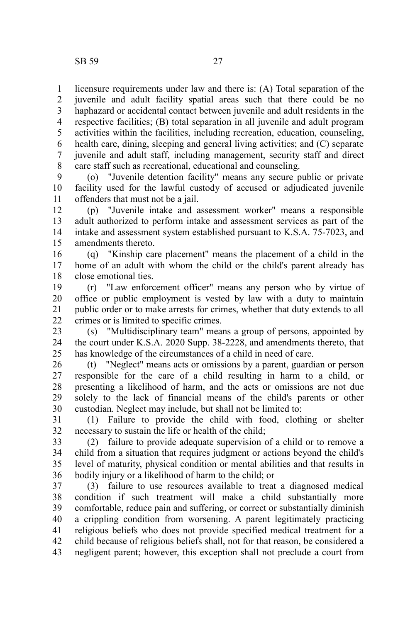licensure requirements under law and there is: (A) Total separation of the juvenile and adult facility spatial areas such that there could be no haphazard or accidental contact between juvenile and adult residents in the respective facilities; (B) total separation in all juvenile and adult program activities within the facilities, including recreation, education, counseling, health care, dining, sleeping and general living activities; and (C) separate juvenile and adult staff, including management, security staff and direct care staff such as recreational, educational and counseling. 1 2 3 4 5 6 7 8

(o) "Juvenile detention facility" means any secure public or private facility used for the lawful custody of accused or adjudicated juvenile offenders that must not be a jail. 9 10 11

(p) "Juvenile intake and assessment worker" means a responsible adult authorized to perform intake and assessment services as part of the intake and assessment system established pursuant to K.S.A. 75-7023, and amendments thereto. 12 13 14 15

(q) "Kinship care placement" means the placement of a child in the home of an adult with whom the child or the child's parent already has close emotional ties. 16 17 18

(r) "Law enforcement officer" means any person who by virtue of office or public employment is vested by law with a duty to maintain public order or to make arrests for crimes, whether that duty extends to all crimes or is limited to specific crimes. 19 20 21 22

(s) "Multidisciplinary team" means a group of persons, appointed by the court under K.S.A. 2020 Supp. 38-2228, and amendments thereto, that has knowledge of the circumstances of a child in need of care. 23 24 25

(t) "Neglect" means acts or omissions by a parent, guardian or person responsible for the care of a child resulting in harm to a child, or presenting a likelihood of harm, and the acts or omissions are not due solely to the lack of financial means of the child's parents or other custodian. Neglect may include, but shall not be limited to: 26 27 28 29 30

(1) Failure to provide the child with food, clothing or shelter necessary to sustain the life or health of the child; 31 32

(2) failure to provide adequate supervision of a child or to remove a child from a situation that requires judgment or actions beyond the child's level of maturity, physical condition or mental abilities and that results in bodily injury or a likelihood of harm to the child; or 33 34 35 36

(3) failure to use resources available to treat a diagnosed medical condition if such treatment will make a child substantially more comfortable, reduce pain and suffering, or correct or substantially diminish a crippling condition from worsening. A parent legitimately practicing religious beliefs who does not provide specified medical treatment for a child because of religious beliefs shall, not for that reason, be considered a negligent parent; however, this exception shall not preclude a court from 37 38 39 40 41 42 43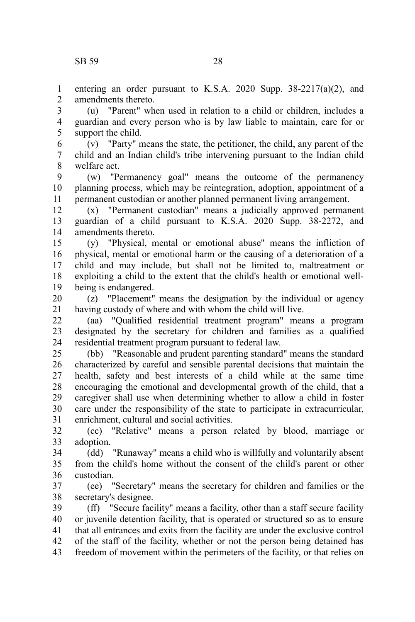entering an order pursuant to K.S.A. 2020 Supp. 38-2217(a)(2), and amendments thereto. 1  $\mathcal{L}$ 

(u) "Parent" when used in relation to a child or children, includes a guardian and every person who is by law liable to maintain, care for or support the child. 3 4 5

(v) "Party" means the state, the petitioner, the child, any parent of the child and an Indian child's tribe intervening pursuant to the Indian child welfare act. 6 7 8

(w) "Permanency goal" means the outcome of the permanency planning process, which may be reintegration, adoption, appointment of a permanent custodian or another planned permanent living arrangement. 9 10 11

(x) "Permanent custodian" means a judicially approved permanent guardian of a child pursuant to K.S.A. 2020 Supp. 38-2272, and amendments thereto. 12 13 14

(y) "Physical, mental or emotional abuse" means the infliction of physical, mental or emotional harm or the causing of a deterioration of a child and may include, but shall not be limited to, maltreatment or exploiting a child to the extent that the child's health or emotional wellbeing is endangered. 15 16 17 18 19

(z) "Placement" means the designation by the individual or agency having custody of where and with whom the child will live. 20 21

(aa) "Qualified residential treatment program" means a program designated by the secretary for children and families as a qualified residential treatment program pursuant to federal law. 22 23 24

(bb) "Reasonable and prudent parenting standard" means the standard characterized by careful and sensible parental decisions that maintain the health, safety and best interests of a child while at the same time encouraging the emotional and developmental growth of the child, that a caregiver shall use when determining whether to allow a child in foster care under the responsibility of the state to participate in extracurricular, enrichment, cultural and social activities. 25 26 27 28 29 30 31

(cc) "Relative" means a person related by blood, marriage or adoption. 32 33

(dd) "Runaway" means a child who is willfully and voluntarily absent from the child's home without the consent of the child's parent or other custodian. 34 35 36

(ee) "Secretary" means the secretary for children and families or the secretary's designee. 37 38

(ff) "Secure facility" means a facility, other than a staff secure facility or juvenile detention facility, that is operated or structured so as to ensure that all entrances and exits from the facility are under the exclusive control of the staff of the facility, whether or not the person being detained has freedom of movement within the perimeters of the facility, or that relies on 39 40 41 42 43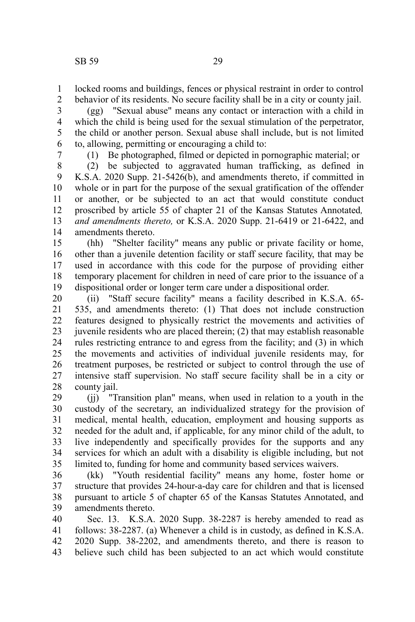locked rooms and buildings, fences or physical restraint in order to control behavior of its residents. No secure facility shall be in a city or county jail. 1 2

(gg) "Sexual abuse" means any contact or interaction with a child in which the child is being used for the sexual stimulation of the perpetrator, the child or another person. Sexual abuse shall include, but is not limited to, allowing, permitting or encouraging a child to: 3 4 5 6

7

(1) Be photographed, filmed or depicted in pornographic material; or

(2) be subjected to aggravated human trafficking, as defined in K.S.A. 2020 Supp. 21-5426(b), and amendments thereto, if committed in whole or in part for the purpose of the sexual gratification of the offender or another, or be subjected to an act that would constitute conduct proscribed by article 55 of chapter 21 of the Kansas Statutes Annotated*, and amendments thereto,* or K.S.A. 2020 Supp. 21-6419 or 21-6422, and amendments thereto. 8 9 10 11 12 13 14

(hh) "Shelter facility" means any public or private facility or home, other than a juvenile detention facility or staff secure facility, that may be used in accordance with this code for the purpose of providing either temporary placement for children in need of care prior to the issuance of a dispositional order or longer term care under a dispositional order. 15 16 17 18 19

(ii) "Staff secure facility" means a facility described in K.S.A. 65- 535, and amendments thereto: (1) That does not include construction features designed to physically restrict the movements and activities of juvenile residents who are placed therein; (2) that may establish reasonable rules restricting entrance to and egress from the facility; and (3) in which the movements and activities of individual juvenile residents may, for treatment purposes, be restricted or subject to control through the use of intensive staff supervision. No staff secure facility shall be in a city or county jail. 20 21 22 23 24 25 26 27 28

(jj) "Transition plan" means, when used in relation to a youth in the custody of the secretary, an individualized strategy for the provision of medical, mental health, education, employment and housing supports as needed for the adult and, if applicable, for any minor child of the adult, to live independently and specifically provides for the supports and any services for which an adult with a disability is eligible including, but not limited to, funding for home and community based services waivers. 29 30 31 32 33 34 35

(kk) "Youth residential facility" means any home, foster home or structure that provides 24-hour-a-day care for children and that is licensed pursuant to article 5 of chapter 65 of the Kansas Statutes Annotated, and amendments thereto. 36 37 38 39

Sec. 13. K.S.A. 2020 Supp. 38-2287 is hereby amended to read as follows: 38-2287. (a) Whenever a child is in custody, as defined in K.S.A. 2020 Supp. 38-2202, and amendments thereto, and there is reason to believe such child has been subjected to an act which would constitute 40 41 42 43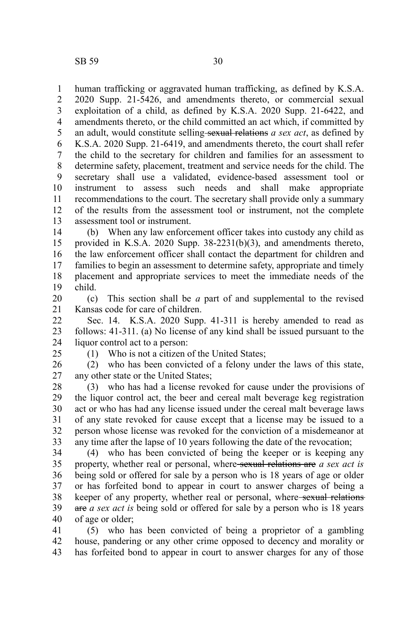human trafficking or aggravated human trafficking, as defined by K.S.A. 2020 Supp. 21-5426, and amendments thereto, or commercial sexual exploitation of a child, as defined by K.S.A. 2020 Supp. 21-6422, and amendments thereto, or the child committed an act which, if committed by an adult, would constitute selling-sexual relations *a sex act*, as defined by K.S.A. 2020 Supp. 21-6419, and amendments thereto, the court shall refer the child to the secretary for children and families for an assessment to determine safety, placement, treatment and service needs for the child. The secretary shall use a validated, evidence-based assessment tool or instrument to assess such needs and shall make appropriate recommendations to the court. The secretary shall provide only a summary of the results from the assessment tool or instrument, not the complete assessment tool or instrument. 1 2 3 4 5 6 7 8 9 10 11 12 13

(b) When any law enforcement officer takes into custody any child as provided in K.S.A. 2020 Supp. 38-2231(b)(3), and amendments thereto, the law enforcement officer shall contact the department for children and families to begin an assessment to determine safety, appropriate and timely placement and appropriate services to meet the immediate needs of the child. 14 15 16 17 18 19

(c) This section shall be *a* part of and supplemental to the revised Kansas code for care of children. 20 21

Sec. 14. K.S.A. 2020 Supp. 41-311 is hereby amended to read as follows: 41-311. (a) No license of any kind shall be issued pursuant to the liquor control act to a person: 22 23 24

25

(1) Who is not a citizen of the United States;

(2) who has been convicted of a felony under the laws of this state, any other state or the United States; 26 27

(3) who has had a license revoked for cause under the provisions of the liquor control act, the beer and cereal malt beverage keg registration act or who has had any license issued under the cereal malt beverage laws of any state revoked for cause except that a license may be issued to a person whose license was revoked for the conviction of a misdemeanor at any time after the lapse of 10 years following the date of the revocation; 28 29 30 31 32 33

(4) who has been convicted of being the keeper or is keeping any property, whether real or personal, where sexual relations are *a sex act is* being sold or offered for sale by a person who is 18 years of age or older or has forfeited bond to appear in court to answer charges of being a keeper of any property, whether real or personal, where-sexual relations are *a sex act is* being sold or offered for sale by a person who is 18 years of age or older; 34 35 36 37 38 39 40

(5) who has been convicted of being a proprietor of a gambling house, pandering or any other crime opposed to decency and morality or has forfeited bond to appear in court to answer charges for any of those 41 42 43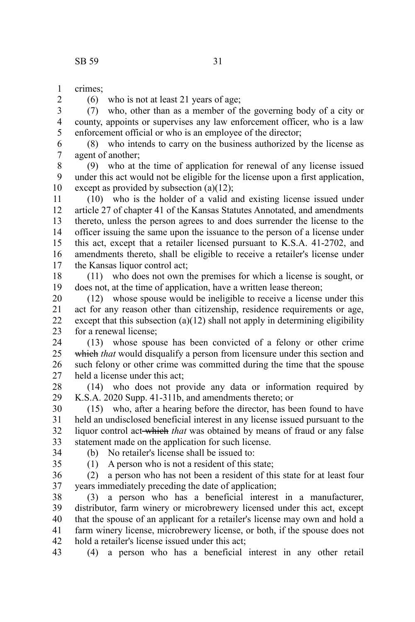crimes; 1

2

(6) who is not at least 21 years of age;

(7) who, other than as a member of the governing body of a city or county, appoints or supervises any law enforcement officer, who is a law enforcement official or who is an employee of the director; 3 4 5

(8) who intends to carry on the business authorized by the license as agent of another; 6 7

(9) who at the time of application for renewal of any license issued under this act would not be eligible for the license upon a first application, except as provided by subsection (a)(12); 8 9 10

(10) who is the holder of a valid and existing license issued under article 27 of chapter 41 of the Kansas Statutes Annotated, and amendments thereto, unless the person agrees to and does surrender the license to the officer issuing the same upon the issuance to the person of a license under this act, except that a retailer licensed pursuant to K.S.A. 41-2702, and amendments thereto, shall be eligible to receive a retailer's license under the Kansas liquor control act; 11 12 13 14 15 16 17

(11) who does not own the premises for which a license is sought, or does not, at the time of application, have a written lease thereon; 18 19

(12) whose spouse would be ineligible to receive a license under this act for any reason other than citizenship, residence requirements or age, except that this subsection  $(a)(12)$  shall not apply in determining eligibility for a renewal license; 20 21 22 23

(13) whose spouse has been convicted of a felony or other crime which *that* would disqualify a person from licensure under this section and such felony or other crime was committed during the time that the spouse held a license under this act; 24 25 26 27

(14) who does not provide any data or information required by K.S.A. 2020 Supp. 41-311b, and amendments thereto; or 28 29

(15) who, after a hearing before the director, has been found to have held an undisclosed beneficial interest in any license issued pursuant to the liquor control act which *that* was obtained by means of fraud or any false statement made on the application for such license. 30 31 32 33

34 35 (b) No retailer's license shall be issued to:

(1) A person who is not a resident of this state;

(2) a person who has not been a resident of this state for at least four years immediately preceding the date of application; 36 37

(3) a person who has a beneficial interest in a manufacturer, distributor, farm winery or microbrewery licensed under this act, except that the spouse of an applicant for a retailer's license may own and hold a farm winery license, microbrewery license, or both, if the spouse does not hold a retailer's license issued under this act; 38 39 40 41 42

(4) a person who has a beneficial interest in any other retail 43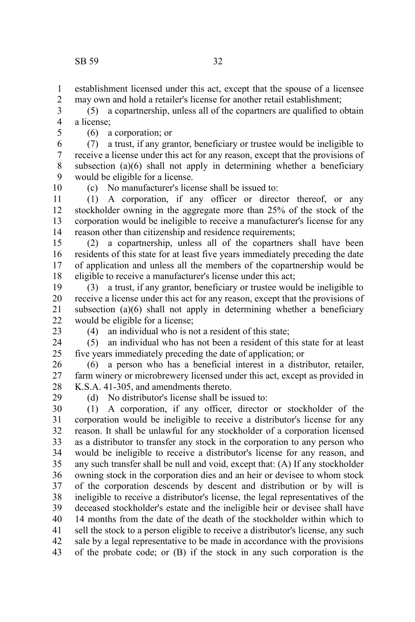establishment licensed under this act, except that the spouse of a licensee may own and hold a retailer's license for another retail establishment; 1 2

(5) a copartnership, unless all of the copartners are qualified to obtain a license; 3 4

5

(6) a corporation; or

(7) a trust, if any grantor, beneficiary or trustee would be ineligible to receive a license under this act for any reason, except that the provisions of subsection  $(a)(6)$  shall not apply in determining whether a beneficiary would be eligible for a license. 6 7 8 9

10

(c) No manufacturer's license shall be issued to:

(1) A corporation, if any officer or director thereof, or any stockholder owning in the aggregate more than 25% of the stock of the corporation would be ineligible to receive a manufacturer's license for any reason other than citizenship and residence requirements; 11 12 13 14

(2) a copartnership, unless all of the copartners shall have been residents of this state for at least five years immediately preceding the date of application and unless all the members of the copartnership would be eligible to receive a manufacturer's license under this act; 15 16 17 18

(3) a trust, if any grantor, beneficiary or trustee would be ineligible to receive a license under this act for any reason, except that the provisions of subsection (a)(6) shall not apply in determining whether a beneficiary would be eligible for a license; 19 20 21 22

23

(4) an individual who is not a resident of this state;

(5) an individual who has not been a resident of this state for at least five years immediately preceding the date of application; or 24 25

(6) a person who has a beneficial interest in a distributor, retailer, farm winery or microbrewery licensed under this act, except as provided in K.S.A. 41-305, and amendments thereto. 26 27 28

29

(d) No distributor's license shall be issued to:

(1) A corporation, if any officer, director or stockholder of the corporation would be ineligible to receive a distributor's license for any reason. It shall be unlawful for any stockholder of a corporation licensed as a distributor to transfer any stock in the corporation to any person who would be ineligible to receive a distributor's license for any reason, and any such transfer shall be null and void, except that: (A) If any stockholder owning stock in the corporation dies and an heir or devisee to whom stock of the corporation descends by descent and distribution or by will is ineligible to receive a distributor's license, the legal representatives of the deceased stockholder's estate and the ineligible heir or devisee shall have 14 months from the date of the death of the stockholder within which to sell the stock to a person eligible to receive a distributor's license, any such sale by a legal representative to be made in accordance with the provisions of the probate code; or (B) if the stock in any such corporation is the 30 31 32 33 34 35 36 37 38 39 40 41 42 43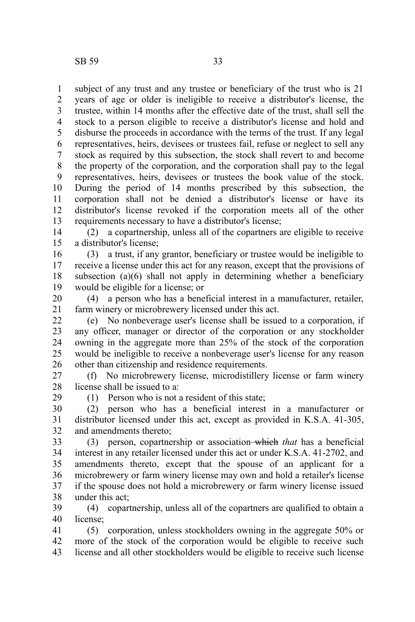subject of any trust and any trustee or beneficiary of the trust who is 21 years of age or older is ineligible to receive a distributor's license, the trustee, within 14 months after the effective date of the trust, shall sell the stock to a person eligible to receive a distributor's license and hold and disburse the proceeds in accordance with the terms of the trust. If any legal representatives, heirs, devisees or trustees fail, refuse or neglect to sell any stock as required by this subsection, the stock shall revert to and become the property of the corporation, and the corporation shall pay to the legal representatives, heirs, devisees or trustees the book value of the stock. During the period of 14 months prescribed by this subsection, the corporation shall not be denied a distributor's license or have its distributor's license revoked if the corporation meets all of the other requirements necessary to have a distributor's license; 1 2 3 4 5 6 7 8 9 10 11 12 13

(2) a copartnership, unless all of the copartners are eligible to receive a distributor's license; 14 15

(3) a trust, if any grantor, beneficiary or trustee would be ineligible to receive a license under this act for any reason, except that the provisions of subsection (a)(6) shall not apply in determining whether a beneficiary would be eligible for a license; or 16 17 18 19

(4) a person who has a beneficial interest in a manufacturer, retailer, farm winery or microbrewery licensed under this act. 20 21

(e) No nonbeverage user's license shall be issued to a corporation, if any officer, manager or director of the corporation or any stockholder owning in the aggregate more than 25% of the stock of the corporation would be ineligible to receive a nonbeverage user's license for any reason other than citizenship and residence requirements. 22 23 24 25 26

(f) No microbrewery license, microdistillery license or farm winery license shall be issued to a: 27 28 29

(1) Person who is not a resident of this state;

(2) person who has a beneficial interest in a manufacturer or distributor licensed under this act, except as provided in K.S.A. 41-305, and amendments thereto; 30 31 32

(3) person, copartnership or association which *that* has a beneficial interest in any retailer licensed under this act or under K.S.A. 41-2702, and amendments thereto, except that the spouse of an applicant for a microbrewery or farm winery license may own and hold a retailer's license if the spouse does not hold a microbrewery or farm winery license issued under this act; 33 34 35 36 37 38

(4) copartnership, unless all of the copartners are qualified to obtain a license; 39 40

(5) corporation, unless stockholders owning in the aggregate 50% or more of the stock of the corporation would be eligible to receive such license and all other stockholders would be eligible to receive such license 41 42 43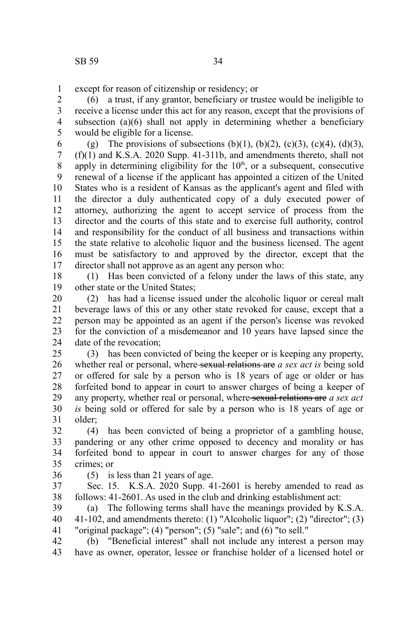except for reason of citizenship or residency; or 1

(6) a trust, if any grantor, beneficiary or trustee would be ineligible to receive a license under this act for any reason, except that the provisions of subsection  $(a)(6)$  shall not apply in determining whether a beneficiary would be eligible for a license. 2 3 4 5

(g) The provisions of subsections (b)(1), (b)(2), (c)(3), (c)(4), (d)(3), (f)(1) and K.S.A. 2020 Supp. 41-311b, and amendments thereto, shall not apply in determining eligibility for the  $10<sup>th</sup>$ , or a subsequent, consecutive renewal of a license if the applicant has appointed a citizen of the United States who is a resident of Kansas as the applicant's agent and filed with the director a duly authenticated copy of a duly executed power of attorney, authorizing the agent to accept service of process from the director and the courts of this state and to exercise full authority, control and responsibility for the conduct of all business and transactions within the state relative to alcoholic liquor and the business licensed. The agent must be satisfactory to and approved by the director, except that the director shall not approve as an agent any person who: 6 7 8 9 10 11 12 13 14 15 16 17

(1) Has been convicted of a felony under the laws of this state, any other state or the United States; 18 19

(2) has had a license issued under the alcoholic liquor or cereal malt beverage laws of this or any other state revoked for cause, except that a person may be appointed as an agent if the person's license was revoked for the conviction of a misdemeanor and 10 years have lapsed since the date of the revocation; 20 21 22 23 24

(3) has been convicted of being the keeper or is keeping any property, whether real or personal, where sexual relations are *a sex act is* being sold or offered for sale by a person who is 18 years of age or older or has forfeited bond to appear in court to answer charges of being a keeper of any property, whether real or personal, where sexual relations are *a sex act is* being sold or offered for sale by a person who is 18 years of age or older; 25 26 27 28 29 30 31

(4) has been convicted of being a proprietor of a gambling house, pandering or any other crime opposed to decency and morality or has forfeited bond to appear in court to answer charges for any of those crimes; or 32 33 34 35

36

(5) is less than 21 years of age.

Sec. 15. K.S.A. 2020 Supp. 41-2601 is hereby amended to read as follows: 41-2601. As used in the club and drinking establishment act: 37 38

(a) The following terms shall have the meanings provided by K.S.A. 41-102, and amendments thereto: (1) "Alcoholic liquor"; (2) "director"; (3) "original package";  $(4)$  "person";  $(5)$  "sale"; and  $(6)$  "to sell." 39 40 41

(b) "Beneficial interest" shall not include any interest a person may have as owner, operator, lessee or franchise holder of a licensed hotel or 42 43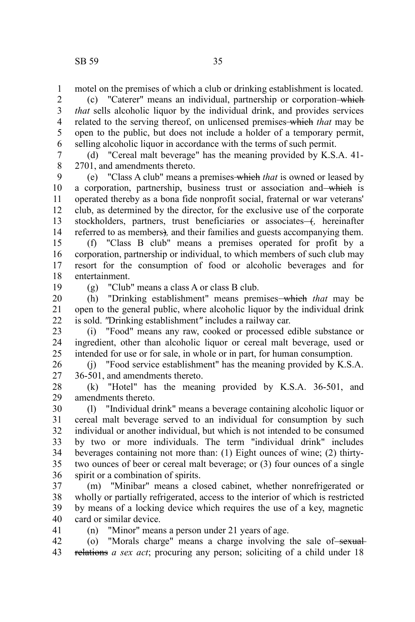motel on the premises of which a club or drinking establishment is located. 1

(c) "Caterer" means an individual, partnership or corporation which *that* sells alcoholic liquor by the individual drink, and provides services related to the serving thereof, on unlicensed premises which *that* may be open to the public, but does not include a holder of a temporary permit, selling alcoholic liquor in accordance with the terms of such permit. 2 3 4 5 6

(d) "Cereal malt beverage" has the meaning provided by K.S.A. 41- 2701, and amendments thereto. 7 8

(e) "Class A club" means a premises which *that* is owned or leased by a corporation, partnership, business trust or association and which is operated thereby as a bona fide nonprofit social, fraternal or war veterans' club, as determined by the director, for the exclusive use of the corporate stockholders, partners, trust beneficiaries or associates-+, hereinafter referred to as members)*,* and their families and guests accompanying them. 9 10 11 12 13 14

(f) "Class B club" means a premises operated for profit by a corporation, partnership or individual, to which members of such club may resort for the consumption of food or alcoholic beverages and for entertainment. 15 16 17 18

19

(g) "Club" means a class A or class B club.

(h) "Drinking establishment" means premises which *that* may be open to the general public, where alcoholic liquor by the individual drink is sold. *"*Drinking establishment*"* includes a railway car. 20 21 22

(i) "Food" means any raw, cooked or processed edible substance or ingredient, other than alcoholic liquor or cereal malt beverage, used or intended for use or for sale, in whole or in part, for human consumption. 23 24 25

(j) "Food service establishment" has the meaning provided by K.S.A. 36-501, and amendments thereto. 26 27

(k) "Hotel" has the meaning provided by K.S.A. 36-501, and amendments thereto. 28 29

(l) "Individual drink" means a beverage containing alcoholic liquor or cereal malt beverage served to an individual for consumption by such individual or another individual, but which is not intended to be consumed by two or more individuals. The term "individual drink" includes beverages containing not more than: (1) Eight ounces of wine; (2) thirtytwo ounces of beer or cereal malt beverage; or (3) four ounces of a single spirit or a combination of spirits. 30 31 32 33 34 35 36

(m) "Minibar" means a closed cabinet, whether nonrefrigerated or wholly or partially refrigerated, access to the interior of which is restricted by means of a locking device which requires the use of a key, magnetic card or similar device. 37 38 39 40 41

(n) "Minor" means a person under 21 years of age.

 $(a)$  "Morals charge" means a charge involving the sale of sexualrelations *a sex act*; procuring any person; soliciting of a child under 18 42 43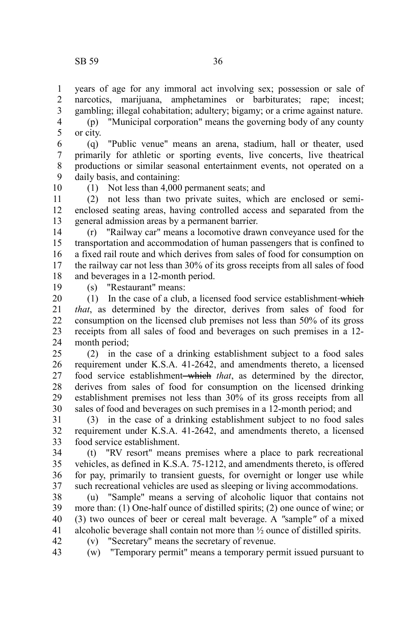years of age for any immoral act involving sex; possession or sale of narcotics, marijuana, amphetamines or barbiturates; rape; incest; gambling; illegal cohabitation; adultery; bigamy; or a crime against nature. 1 2 3

(p) "Municipal corporation" means the governing body of any county or city. 4 5

(q) "Public venue" means an arena, stadium, hall or theater, used primarily for athletic or sporting events, live concerts, live theatrical productions or similar seasonal entertainment events, not operated on a daily basis, and containing: 6 7 8 9

10

(1) Not less than 4,000 permanent seats; and

(2) not less than two private suites, which are enclosed or semienclosed seating areas, having controlled access and separated from the general admission areas by a permanent barrier. 11 12 13

(r) "Railway car" means a locomotive drawn conveyance used for the transportation and accommodation of human passengers that is confined to a fixed rail route and which derives from sales of food for consumption on the railway car not less than 30% of its gross receipts from all sales of food and beverages in a 12-month period. 14 15 16 17 18

19

(s) "Restaurant" means:

(1) In the case of a club, a licensed food service establishment which *that*, as determined by the director, derives from sales of food for consumption on the licensed club premises not less than 50% of its gross receipts from all sales of food and beverages on such premises in a 12 month period; 20 21 22 23 24

(2) in the case of a drinking establishment subject to a food sales requirement under K.S.A. 41-2642, and amendments thereto, a licensed food service establishment which *that*, as determined by the director, derives from sales of food for consumption on the licensed drinking establishment premises not less than 30% of its gross receipts from all sales of food and beverages on such premises in a 12-month period; and 25 26 27 28 29 30

(3) in the case of a drinking establishment subject to no food sales requirement under K.S.A. 41-2642, and amendments thereto, a licensed food service establishment. 31 32 33

(t) "RV resort" means premises where a place to park recreational vehicles, as defined in K.S.A. 75-1212, and amendments thereto, is offered for pay, primarily to transient guests, for overnight or longer use while such recreational vehicles are used as sleeping or living accommodations. 34 35 36 37

(u) "Sample" means a serving of alcoholic liquor that contains not more than: (1) One-half ounce of distilled spirits; (2) one ounce of wine; or (3) two ounces of beer or cereal malt beverage. A *"*sample*"* of a mixed alcoholic beverage shall contain not more than ½ ounce of distilled spirits. (v) "Secretary" means the secretary of revenue. 38 39 40 41 42

(w) "Temporary permit" means a temporary permit issued pursuant to 43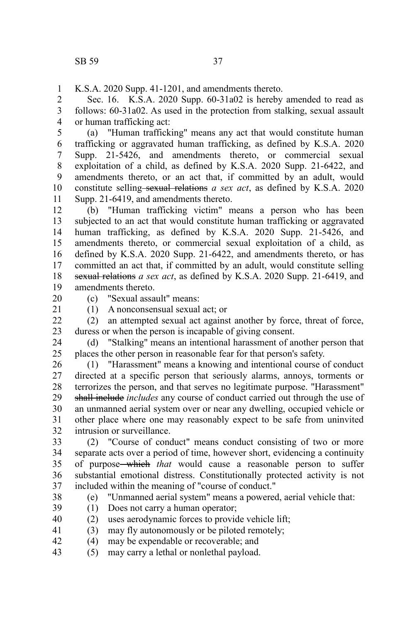K.S.A. 2020 Supp. 41-1201, and amendments thereto. 1

Sec. 16. K.S.A. 2020 Supp. 60-31a02 is hereby amended to read as follows: 60-31a02. As used in the protection from stalking, sexual assault or human trafficking act: 2 3 4

(a) "Human trafficking" means any act that would constitute human trafficking or aggravated human trafficking, as defined by K.S.A. 2020 Supp. 21-5426, and amendments thereto, or commercial sexual exploitation of a child, as defined by K.S.A. 2020 Supp. 21-6422, and amendments thereto, or an act that, if committed by an adult, would constitute selling sexual relations *a sex act*, as defined by K.S.A. 2020 Supp. 21-6419, and amendments thereto. 5 6 7 8 9 10 11

(b) "Human trafficking victim" means a person who has been subjected to an act that would constitute human trafficking or aggravated human trafficking, as defined by K.S.A. 2020 Supp. 21-5426, and amendments thereto, or commercial sexual exploitation of a child, as defined by K.S.A. 2020 Supp. 21-6422, and amendments thereto, or has committed an act that, if committed by an adult, would constitute selling sexual relations *a sex act*, as defined by K.S.A. 2020 Supp. 21-6419, and amendments thereto. 12 13 14 15 16 17 18 19

20

21

(c) "Sexual assault" means:

(1) A nonconsensual sexual act; or

(2) an attempted sexual act against another by force, threat of force, duress or when the person is incapable of giving consent. 22 23

(d) "Stalking" means an intentional harassment of another person that places the other person in reasonable fear for that person's safety. 24 25

(1) "Harassment" means a knowing and intentional course of conduct directed at a specific person that seriously alarms, annoys, torments or terrorizes the person, and that serves no legitimate purpose. "Harassment" shall include *includes* any course of conduct carried out through the use of an unmanned aerial system over or near any dwelling, occupied vehicle or other place where one may reasonably expect to be safe from uninvited intrusion or surveillance. 26 27 28 29 30 31 32

(2) "Course of conduct" means conduct consisting of two or more separate acts over a period of time, however short, evidencing a continuity of purpose which *that* would cause a reasonable person to suffer substantial emotional distress. Constitutionally protected activity is not included within the meaning of "course of conduct." 33 34 35 36 37

(e) "Unmanned aerial system" means a powered, aerial vehicle that:

38

- (1) Does not carry a human operator; 39
- (2) uses aerodynamic forces to provide vehicle lift; 40
- (3) may fly autonomously or be piloted remotely; 41
- (4) may be expendable or recoverable; and 42
- (5) may carry a lethal or nonlethal payload. 43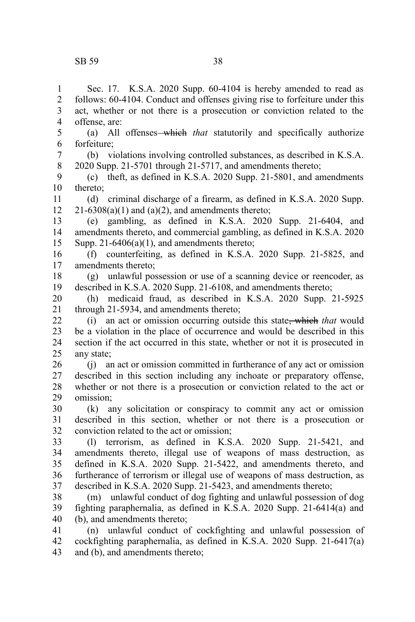Sec. 17. K.S.A. 2020 Supp. 60-4104 is hereby amended to read as follows: 60-4104. Conduct and offenses giving rise to forfeiture under this act, whether or not there is a prosecution or conviction related to the offense, are: (a) All offenses which *that* statutorily and specifically authorize forfeiture; (b) violations involving controlled substances, as described in K.S.A. 2020 Supp. 21-5701 through 21-5717, and amendments thereto; (c) theft, as defined in K.S.A. 2020 Supp. 21-5801, and amendments thereto; (d) criminal discharge of a firearm, as defined in K.S.A. 2020 Supp.  $21-6308(a)(1)$  and  $(a)(2)$ , and amendments thereto; (e) gambling, as defined in K.S.A. 2020 Supp. 21-6404, and amendments thereto, and commercial gambling, as defined in K.S.A. 2020 Supp.  $21-6406(a)(1)$ , and amendments thereto; (f) counterfeiting, as defined in K.S.A. 2020 Supp. 21-5825, and amendments thereto; (g) unlawful possession or use of a scanning device or reencoder, as described in K.S.A. 2020 Supp. 21-6108, and amendments thereto; (h) medicaid fraud, as described in K.S.A. 2020 Supp. 21-5925 through 21-5934, and amendments thereto; (i) an act or omission occurring outside this state, which *that* would be a violation in the place of occurrence and would be described in this section if the act occurred in this state, whether or not it is prosecuted in any state; (j) an act or omission committed in furtherance of any act or omission described in this section including any inchoate or preparatory offense, whether or not there is a prosecution or conviction related to the act or omission; (k) any solicitation or conspiracy to commit any act or omission described in this section, whether or not there is a prosecution or conviction related to the act or omission; (l) terrorism, as defined in K.S.A. 2020 Supp. 21-5421, and amendments thereto, illegal use of weapons of mass destruction, as defined in K.S.A. 2020 Supp. 21-5422, and amendments thereto, and furtherance of terrorism or illegal use of weapons of mass destruction, as described in K.S.A. 2020 Supp. 21-5423, and amendments thereto; (m) unlawful conduct of dog fighting and unlawful possession of dog fighting paraphernalia, as defined in K.S.A. 2020 Supp. 21-6414(a) and (b), and amendments thereto; (n) unlawful conduct of cockfighting and unlawful possession of cockfighting paraphernalia, as defined in K.S.A. 2020 Supp. 21-6417(a) 1 2 3 4 5 6 7 8 9 10 11 12 13 14 15 16 17 18 19 20 21 22 23 24 25 26 27 28 29 30 31 32 33 34 35 36 37 38 39 40 41 42

and (b), and amendments thereto; 43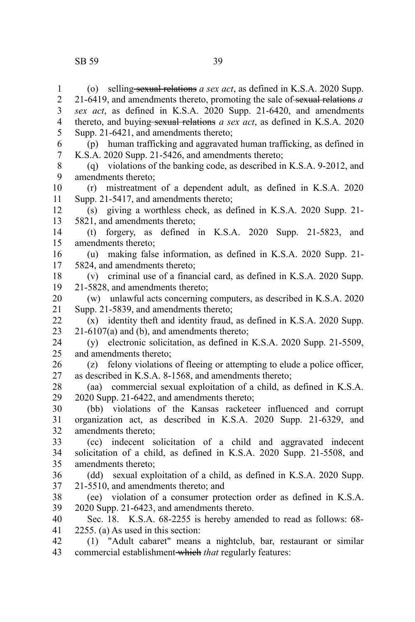1 2 3

thereto, and buying sexual relations *a sex act*, as defined in K.S.A. 2020 Supp. 21-6421, and amendments thereto; (p) human trafficking and aggravated human trafficking, as defined in 4 5 6

- K.S.A. 2020 Supp. 21-5426, and amendments thereto; 7
- (q) violations of the banking code, as described in K.S.A. 9-2012, and amendments thereto; 8 9

(r) mistreatment of a dependent adult, as defined in K.S.A. 2020 Supp. 21-5417, and amendments thereto; 10 11

(s) giving a worthless check, as defined in K.S.A. 2020 Supp. 21- 5821, and amendments thereto; 12 13

(t) forgery, as defined in K.S.A. 2020 Supp. 21-5823, and amendments thereto; 14 15

(u) making false information, as defined in K.S.A. 2020 Supp. 21- 5824, and amendments thereto; 16 17

(v) criminal use of a financial card, as defined in K.S.A. 2020 Supp. 21-5828, and amendments thereto; 18 19

(w) unlawful acts concerning computers, as described in K.S.A. 2020 Supp. 21-5839, and amendments thereto; 20 21

(x) identity theft and identity fraud, as defined in K.S.A. 2020 Supp. 21-6107(a) and (b), and amendments thereto; 22 23

(y) electronic solicitation, as defined in K.S.A. 2020 Supp. 21-5509, and amendments thereto; 24 25

(z) felony violations of fleeing or attempting to elude a police officer, as described in K.S.A. 8-1568, and amendments thereto; 26 27

(aa) commercial sexual exploitation of a child, as defined in K.S.A. 2020 Supp. 21-6422, and amendments thereto; 28 29

(bb) violations of the Kansas racketeer influenced and corrupt organization act, as described in K.S.A. 2020 Supp. 21-6329, and amendments thereto; 30 31 32

(cc) indecent solicitation of a child and aggravated indecent solicitation of a child, as defined in K.S.A. 2020 Supp. 21-5508, and amendments thereto; 33 34 35

(dd) sexual exploitation of a child, as defined in K.S.A. 2020 Supp. 21-5510, and amendments thereto; and 36 37

(ee) violation of a consumer protection order as defined in K.S.A. 2020 Supp. 21-6423, and amendments thereto. 38 39

Sec. 18. K.S.A. 68-2255 is hereby amended to read as follows: 68- 2255. (a) As used in this section: 40 41

(1) "Adult cabaret" means a nightclub, bar, restaurant or similar commercial establishment which *that* regularly features: 42 43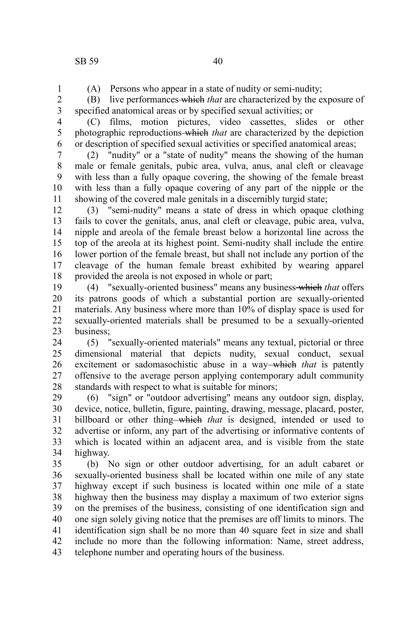1

5 6 (A) Persons who appear in a state of nudity or semi-nudity;

(B) live performances which *that* are characterized by the exposure of specified anatomical areas or by specified sexual activities; or 2 3 4

(C) films, motion pictures, video cassettes, slides or other photographic reproductions which *that* are characterized by the depiction or description of specified sexual activities or specified anatomical areas;

(2) "nudity" or a "state of nudity" means the showing of the human male or female genitals, pubic area, vulva, anus, anal cleft or cleavage with less than a fully opaque covering, the showing of the female breast with less than a fully opaque covering of any part of the nipple or the showing of the covered male genitals in a discernibly turgid state; 7 8 9 10 11

(3) "semi-nudity" means a state of dress in which opaque clothing fails to cover the genitals, anus, anal cleft or cleavage, pubic area, vulva, nipple and areola of the female breast below a horizontal line across the top of the areola at its highest point. Semi-nudity shall include the entire lower portion of the female breast, but shall not include any portion of the cleavage of the human female breast exhibited by wearing apparel provided the areola is not exposed in whole or part; 12 13 14 15 16 17 18

(4) "sexually-oriented business" means any business which *that* offers its patrons goods of which a substantial portion are sexually-oriented materials. Any business where more than 10% of display space is used for sexually-oriented materials shall be presumed to be a sexually-oriented business; 19 20 21 22 23

(5) "sexually-oriented materials" means any textual, pictorial or three dimensional material that depicts nudity, sexual conduct, sexual excitement or sadomasochistic abuse in a way<del> which</del> that is patently offensive to the average person applying contemporary adult community standards with respect to what is suitable for minors; 24 25 26 27 28

(6) "sign" or "outdoor advertising" means any outdoor sign, display, device, notice, bulletin, figure, painting, drawing, message, placard, poster, billboard or other thing—which *that* is designed, intended or used to advertise or inform, any part of the advertising or informative contents of which is located within an adjacent area, and is visible from the state highway. 29 30 31 32 33 34

(b) No sign or other outdoor advertising, for an adult cabaret or sexually-oriented business shall be located within one mile of any state highway except if such business is located within one mile of a state highway then the business may display a maximum of two exterior signs on the premises of the business, consisting of one identification sign and one sign solely giving notice that the premises are off limits to minors. The identification sign shall be no more than 40 square feet in size and shall include no more than the following information: Name, street address, telephone number and operating hours of the business. 35 36 37 38 39 40 41 42 43